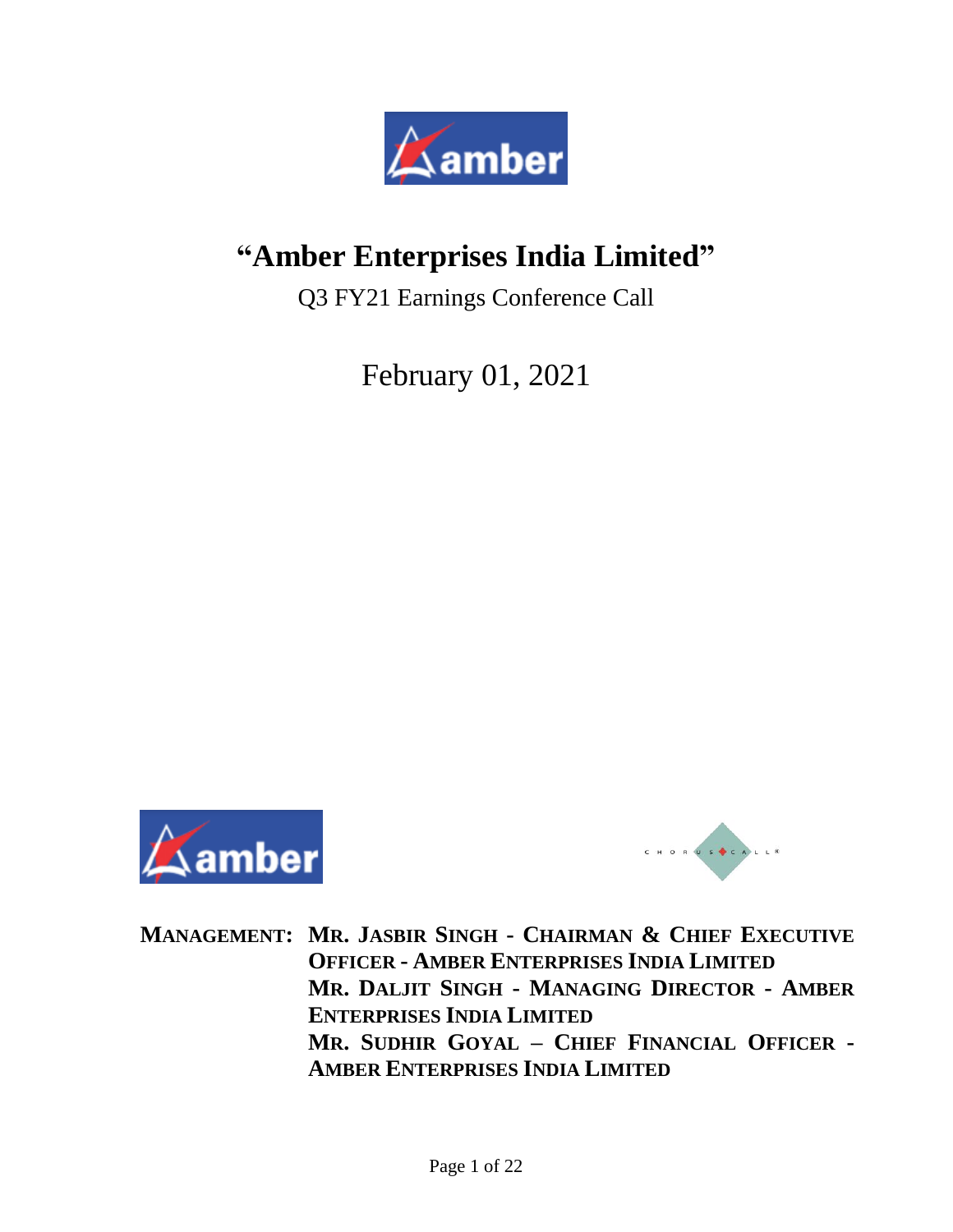

# **"Amber Enterprises India Limited"**

Q3 FY21 Earnings Conference Call

February 01, 2021





**MANAGEMENT: MR. JASBIR SINGH - CHAIRMAN & CHIEF EXECUTIVE OFFICER - AMBER ENTERPRISES INDIA LIMITED MR. DALJIT SINGH - MANAGING DIRECTOR - AMBER ENTERPRISES INDIA LIMITED MR. SUDHIR GOYAL – CHIEF FINANCIAL OFFICER - AMBER ENTERPRISES INDIA LIMITED**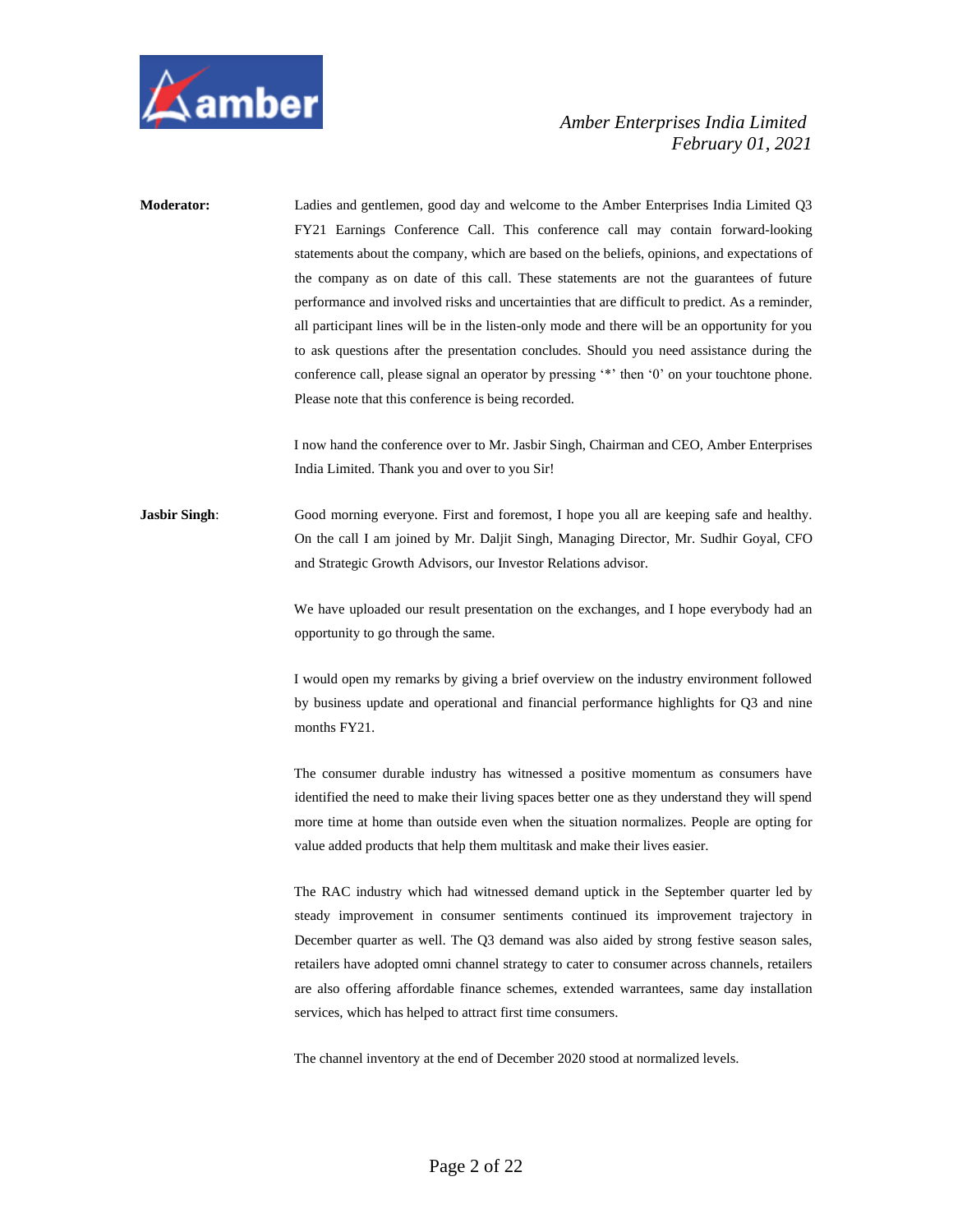

**Moderator:** Ladies and gentlemen, good day and welcome to the Amber Enterprises India Limited Q3 FY21 Earnings Conference Call. This conference call may contain forward-looking statements about the company, which are based on the beliefs, opinions, and expectations of the company as on date of this call. These statements are not the guarantees of future performance and involved risks and uncertainties that are difficult to predict. As a reminder, all participant lines will be in the listen-only mode and there will be an opportunity for you to ask questions after the presentation concludes. Should you need assistance during the conference call, please signal an operator by pressing '\*' then '0' on your touchtone phone. Please note that this conference is being recorded.

> I now hand the conference over to Mr. Jasbir Singh, Chairman and CEO, Amber Enterprises India Limited. Thank you and over to you Sir!

**Jasbir Singh:** Good morning everyone. First and foremost, I hope you all are keeping safe and healthy. On the call I am joined by Mr. Daljit Singh, Managing Director, Mr. Sudhir Goyal, CFO and Strategic Growth Advisors, our Investor Relations advisor.

> We have uploaded our result presentation on the exchanges, and I hope everybody had an opportunity to go through the same.

> I would open my remarks by giving a brief overview on the industry environment followed by business update and operational and financial performance highlights for Q3 and nine months FY21.

> The consumer durable industry has witnessed a positive momentum as consumers have identified the need to make their living spaces better one as they understand they will spend more time at home than outside even when the situation normalizes. People are opting for value added products that help them multitask and make their lives easier.

> The RAC industry which had witnessed demand uptick in the September quarter led by steady improvement in consumer sentiments continued its improvement trajectory in December quarter as well. The Q3 demand was also aided by strong festive season sales, retailers have adopted omni channel strategy to cater to consumer across channels, retailers are also offering affordable finance schemes, extended warrantees, same day installation services, which has helped to attract first time consumers.

The channel inventory at the end of December 2020 stood at normalized levels.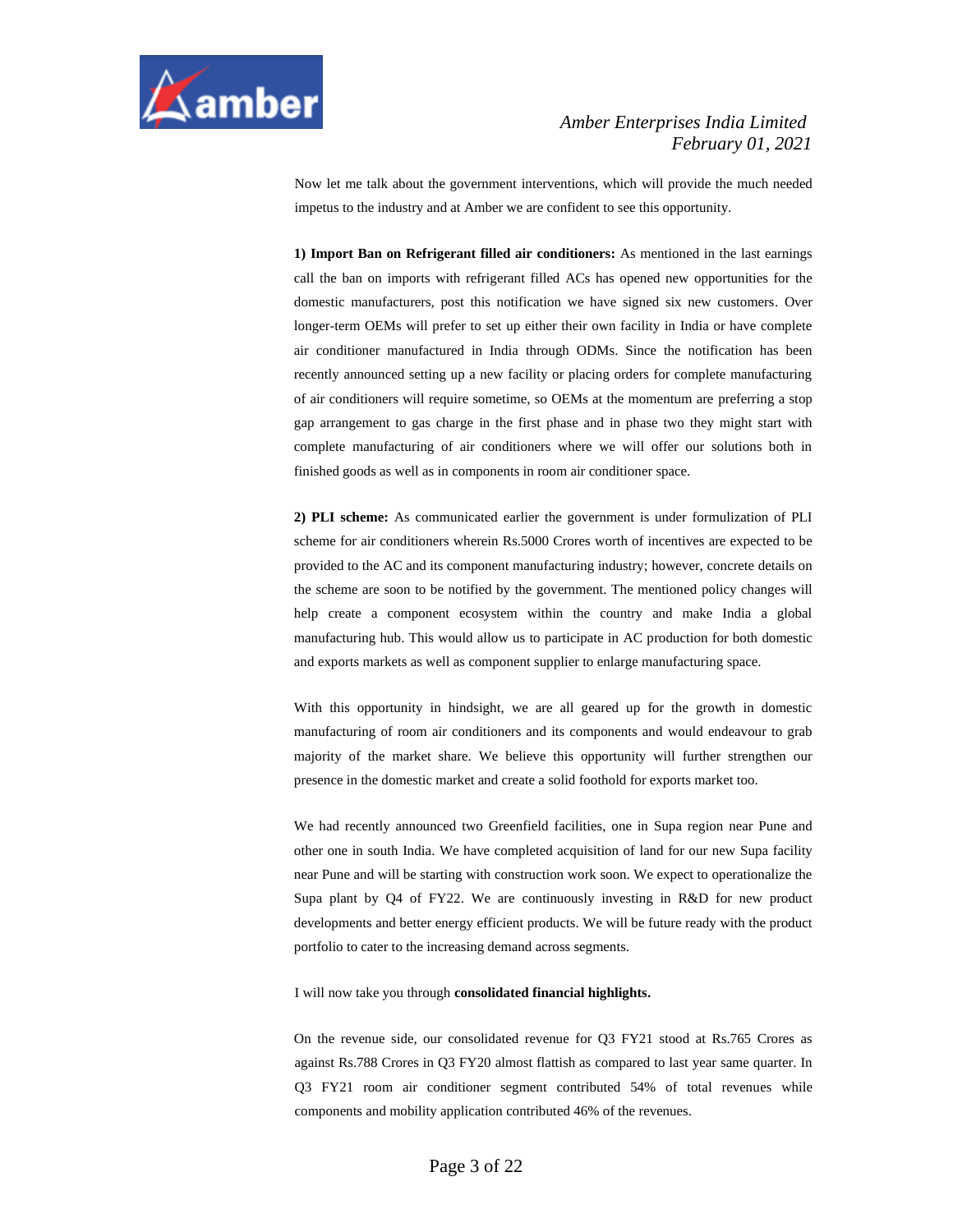

Now let me talk about the government interventions, which will provide the much needed impetus to the industry and at Amber we are confident to see this opportunity.

**1) Import Ban on Refrigerant filled air conditioners:** As mentioned in the last earnings call the ban on imports with refrigerant filled ACs has opened new opportunities for the domestic manufacturers, post this notification we have signed six new customers. Over longer-term OEMs will prefer to set up either their own facility in India or have complete air conditioner manufactured in India through ODMs. Since the notification has been recently announced setting up a new facility or placing orders for complete manufacturing of air conditioners will require sometime, so OEMs at the momentum are preferring a stop gap arrangement to gas charge in the first phase and in phase two they might start with complete manufacturing of air conditioners where we will offer our solutions both in finished goods as well as in components in room air conditioner space.

**2) PLI scheme:** As communicated earlier the government is under formulization of PLI scheme for air conditioners wherein Rs.5000 Crores worth of incentives are expected to be provided to the AC and its component manufacturing industry; however, concrete details on the scheme are soon to be notified by the government. The mentioned policy changes will help create a component ecosystem within the country and make India a global manufacturing hub. This would allow us to participate in AC production for both domestic and exports markets as well as component supplier to enlarge manufacturing space.

With this opportunity in hindsight, we are all geared up for the growth in domestic manufacturing of room air conditioners and its components and would endeavour to grab majority of the market share. We believe this opportunity will further strengthen our presence in the domestic market and create a solid foothold for exports market too.

We had recently announced two Greenfield facilities, one in Supa region near Pune and other one in south India. We have completed acquisition of land for our new Supa facility near Pune and will be starting with construction work soon. We expect to operationalize the Supa plant by Q4 of FY22. We are continuously investing in R&D for new product developments and better energy efficient products. We will be future ready with the product portfolio to cater to the increasing demand across segments.

I will now take you through **consolidated financial highlights.** 

On the revenue side, our consolidated revenue for Q3 FY21 stood at Rs.765 Crores as against Rs.788 Crores in Q3 FY20 almost flattish as compared to last year same quarter. In Q3 FY21 room air conditioner segment contributed 54% of total revenues while components and mobility application contributed 46% of the revenues.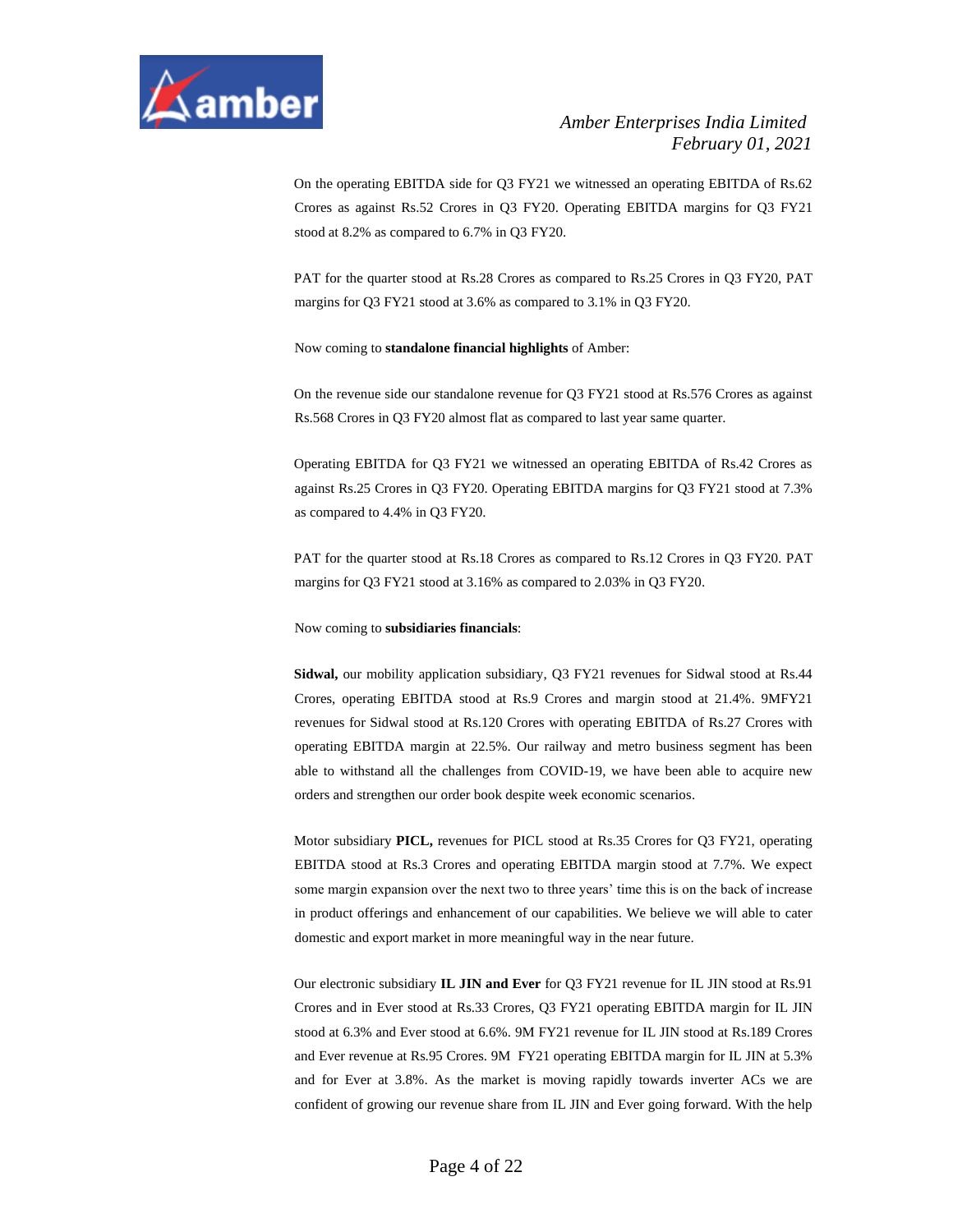

On the operating EBITDA side for Q3 FY21 we witnessed an operating EBITDA of Rs.62 Crores as against Rs.52 Crores in Q3 FY20. Operating EBITDA margins for Q3 FY21 stood at 8.2% as compared to 6.7% in Q3 FY20.

PAT for the quarter stood at Rs.28 Crores as compared to Rs.25 Crores in Q3 FY20, PAT margins for Q3 FY21 stood at 3.6% as compared to 3.1% in Q3 FY20.

#### Now coming to **standalone financial highlights** of Amber:

On the revenue side our standalone revenue for Q3 FY21 stood at Rs.576 Crores as against Rs.568 Crores in Q3 FY20 almost flat as compared to last year same quarter.

Operating EBITDA for Q3 FY21 we witnessed an operating EBITDA of Rs.42 Crores as against Rs.25 Crores in Q3 FY20. Operating EBITDA margins for Q3 FY21 stood at 7.3% as compared to 4.4% in Q3 FY20.

PAT for the quarter stood at Rs.18 Crores as compared to Rs.12 Crores in Q3 FY20. PAT margins for Q3 FY21 stood at 3.16% as compared to 2.03% in Q3 FY20.

Now coming to **subsidiaries financials**:

**Sidwal,** our mobility application subsidiary, Q3 FY21 revenues for Sidwal stood at Rs.44 Crores, operating EBITDA stood at Rs.9 Crores and margin stood at 21.4%. 9MFY21 revenues for Sidwal stood at Rs.120 Crores with operating EBITDA of Rs.27 Crores with operating EBITDA margin at 22.5%. Our railway and metro business segment has been able to withstand all the challenges from COVID-19, we have been able to acquire new orders and strengthen our order book despite week economic scenarios.

Motor subsidiary **PICL,** revenues for PICL stood at Rs.35 Crores for Q3 FY21, operating EBITDA stood at Rs.3 Crores and operating EBITDA margin stood at 7.7%. We expect some margin expansion over the next two to three years' time this is on the back of increase in product offerings and enhancement of our capabilities. We believe we will able to cater domestic and export market in more meaningful way in the near future.

Our electronic subsidiary **IL JIN and Ever** for Q3 FY21 revenue for IL JIN stood at Rs.91 Crores and in Ever stood at Rs.33 Crores, Q3 FY21 operating EBITDA margin for IL JIN stood at 6.3% and Ever stood at 6.6%. 9M FY21 revenue for IL JIN stood at Rs.189 Crores and Ever revenue at Rs.95 Crores. 9M FY21 operating EBITDA margin for IL JIN at 5.3% and for Ever at 3.8%. As the market is moving rapidly towards inverter ACs we are confident of growing our revenue share from IL JIN and Ever going forward. With the help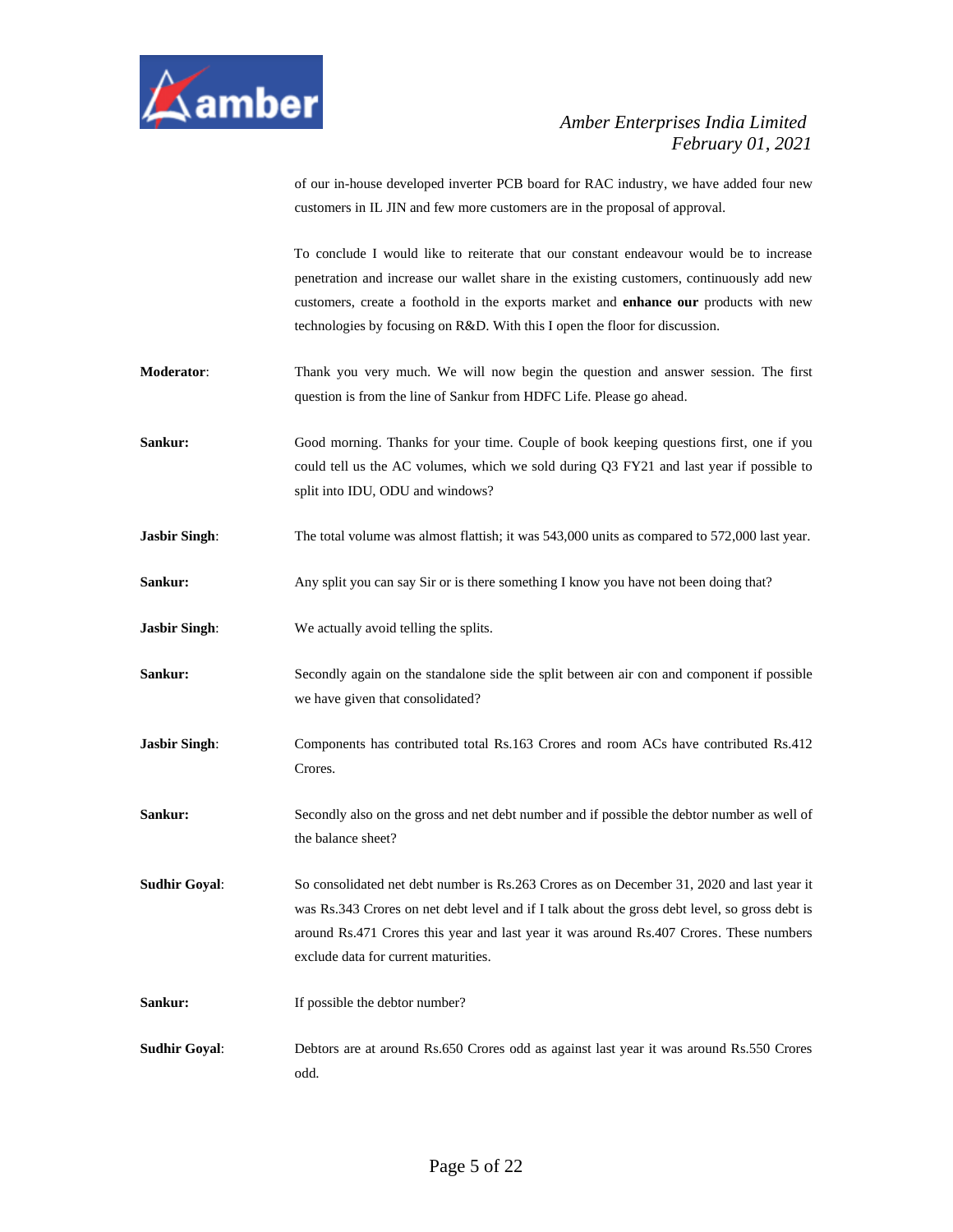

of our in-house developed inverter PCB board for RAC industry, we have added four new customers in IL JIN and few more customers are in the proposal of approval.

To conclude I would like to reiterate that our constant endeavour would be to increase penetration and increase our wallet share in the existing customers, continuously add new customers, create a foothold in the exports market and **enhance our** products with new technologies by focusing on R&D. With this I open the floor for discussion.

- **Moderator**: Thank you very much. We will now begin the question and answer session. The first question is from the line of Sankur from HDFC Life. Please go ahead.
- **Sankur:** Good morning. Thanks for your time. Couple of book keeping questions first, one if you could tell us the AC volumes, which we sold during Q3 FY21 and last year if possible to split into IDU, ODU and windows?
- **Jasbir Singh:** The total volume was almost flattish; it was 543,000 units as compared to 572,000 last year.
- **Sankur:** Any split you can say Sir or is there something I know you have not been doing that?
- **Jasbir Singh:** We actually avoid telling the splits.
- **Sankur:** Secondly again on the standalone side the split between air con and component if possible we have given that consolidated?
- **Jasbir Singh:** Components has contributed total Rs.163 Crores and room ACs have contributed Rs.412 Crores.
- **Sankur:** Secondly also on the gross and net debt number and if possible the debtor number as well of the balance sheet?
- **Sudhir Goyal**: So consolidated net debt number is Rs.263 Crores as on December 31, 2020 and last year it was Rs.343 Crores on net debt level and if I talk about the gross debt level, so gross debt is around Rs.471 Crores this year and last year it was around Rs.407 Crores. These numbers exclude data for current maturities.
- **Sankur:** If possible the debtor number?
- **Sudhir Goyal**: Debtors are at around Rs.650 Crores odd as against last year it was around Rs.550 Crores odd.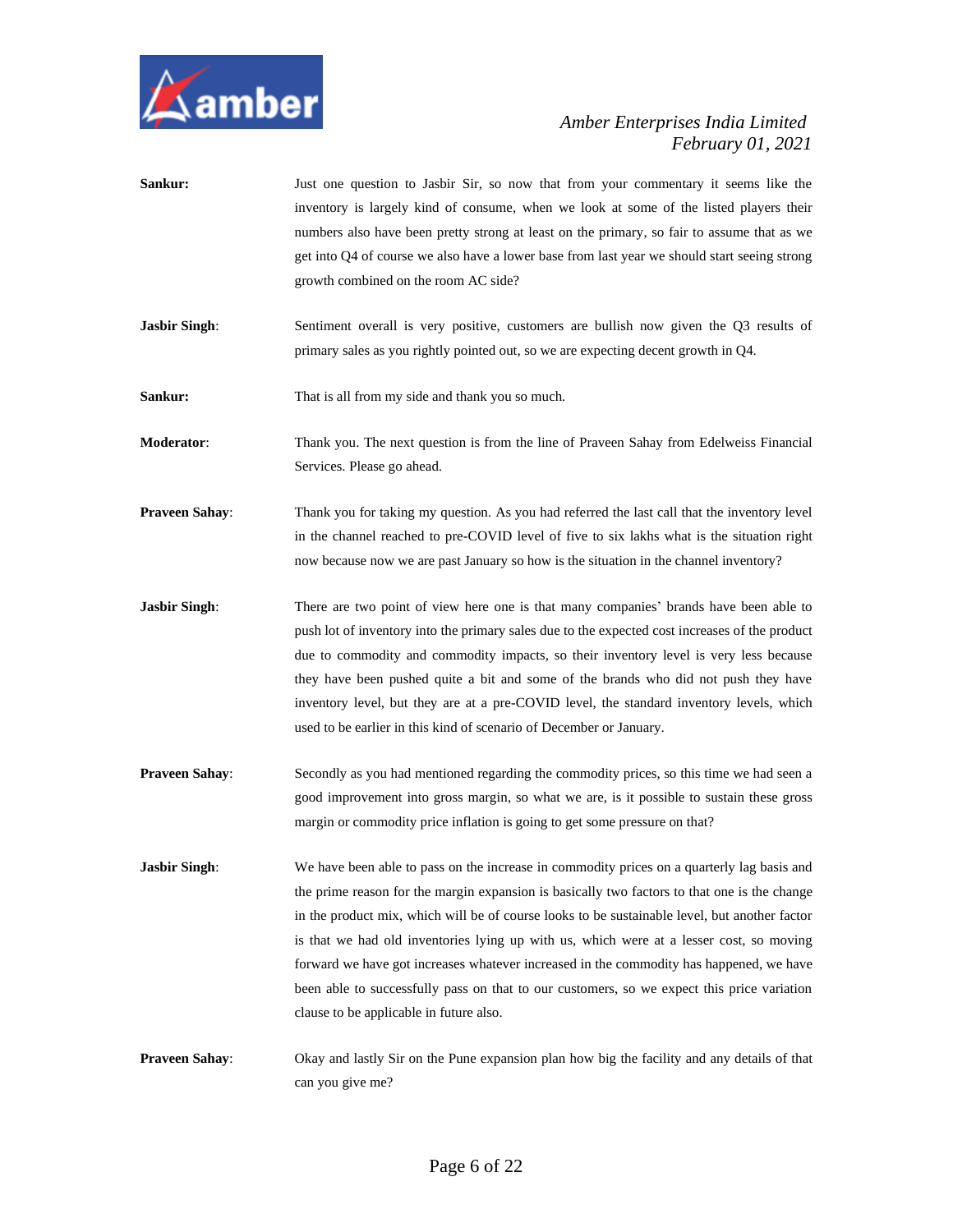

- **Sankur:** Just one question to Jasbir Sir, so now that from your commentary it seems like the inventory is largely kind of consume, when we look at some of the listed players their numbers also have been pretty strong at least on the primary, so fair to assume that as we get into Q4 of course we also have a lower base from last year we should start seeing strong growth combined on the room AC side?
- **Jasbir Singh:** Sentiment overall is very positive, customers are bullish now given the Q3 results of primary sales as you rightly pointed out, so we are expecting decent growth in Q4.

**Sankur:** That is all from my side and thank you so much.

**Moderator**: Thank you. The next question is from the line of Praveen Sahay from Edelweiss Financial Services. Please go ahead.

- **Praveen Sahay:** Thank you for taking my question. As you had referred the last call that the inventory level in the channel reached to pre-COVID level of five to six lakhs what is the situation right now because now we are past January so how is the situation in the channel inventory?
- **Jasbir Singh:** There are two point of view here one is that many companies' brands have been able to push lot of inventory into the primary sales due to the expected cost increases of the product due to commodity and commodity impacts, so their inventory level is very less because they have been pushed quite a bit and some of the brands who did not push they have inventory level, but they are at a pre-COVID level, the standard inventory levels, which used to be earlier in this kind of scenario of December or January.
- **Praveen Sahay:** Secondly as you had mentioned regarding the commodity prices, so this time we had seen a good improvement into gross margin, so what we are, is it possible to sustain these gross margin or commodity price inflation is going to get some pressure on that?
- **Jasbir Singh:** We have been able to pass on the increase in commodity prices on a quarterly lag basis and the prime reason for the margin expansion is basically two factors to that one is the change in the product mix, which will be of course looks to be sustainable level, but another factor is that we had old inventories lying up with us, which were at a lesser cost, so moving forward we have got increases whatever increased in the commodity has happened, we have been able to successfully pass on that to our customers, so we expect this price variation clause to be applicable in future also.
- **Praveen Sahay**: Okay and lastly Sir on the Pune expansion plan how big the facility and any details of that can you give me?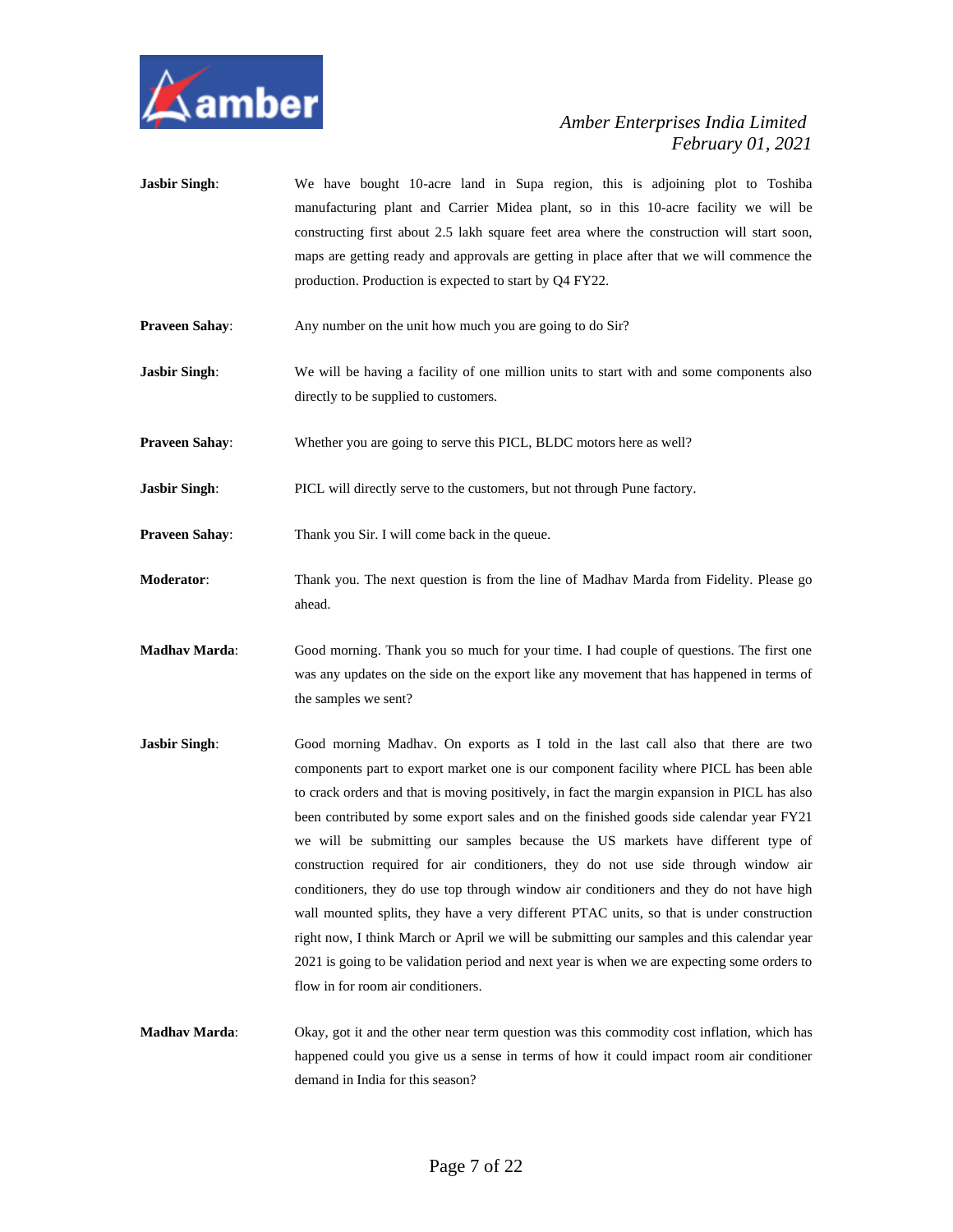

- **Jasbir Singh:** We have bought 10-acre land in Supa region, this is adjoining plot to Toshiba manufacturing plant and Carrier Midea plant, so in this 10-acre facility we will be constructing first about 2.5 lakh square feet area where the construction will start soon, maps are getting ready and approvals are getting in place after that we will commence the production. Production is expected to start by Q4 FY22.
- **Praveen Sahay:** Any number on the unit how much you are going to do Sir?
- **Jasbir Singh:** We will be having a facility of one million units to start with and some components also directly to be supplied to customers.
- **Praveen Sahay:** Whether you are going to serve this PICL, BLDC motors here as well?
- **Jasbir Singh:** PICL will directly serve to the customers, but not through Pune factory.

**Praveen Sahay:** Thank you Sir. I will come back in the queue.

- **Moderator**: Thank you. The next question is from the line of Madhav Marda from Fidelity. Please go ahead.
- **Madhav Marda**: Good morning. Thank you so much for your time. I had couple of questions. The first one was any updates on the side on the export like any movement that has happened in terms of the samples we sent?
- **Jasbir Singh:** Good morning Madhav. On exports as I told in the last call also that there are two components part to export market one is our component facility where PICL has been able to crack orders and that is moving positively, in fact the margin expansion in PICL has also been contributed by some export sales and on the finished goods side calendar year FY21 we will be submitting our samples because the US markets have different type of construction required for air conditioners, they do not use side through window air conditioners, they do use top through window air conditioners and they do not have high wall mounted splits, they have a very different PTAC units, so that is under construction right now, I think March or April we will be submitting our samples and this calendar year 2021 is going to be validation period and next year is when we are expecting some orders to flow in for room air conditioners.
- **Madhav Marda**: Okay, got it and the other near term question was this commodity cost inflation, which has happened could you give us a sense in terms of how it could impact room air conditioner demand in India for this season?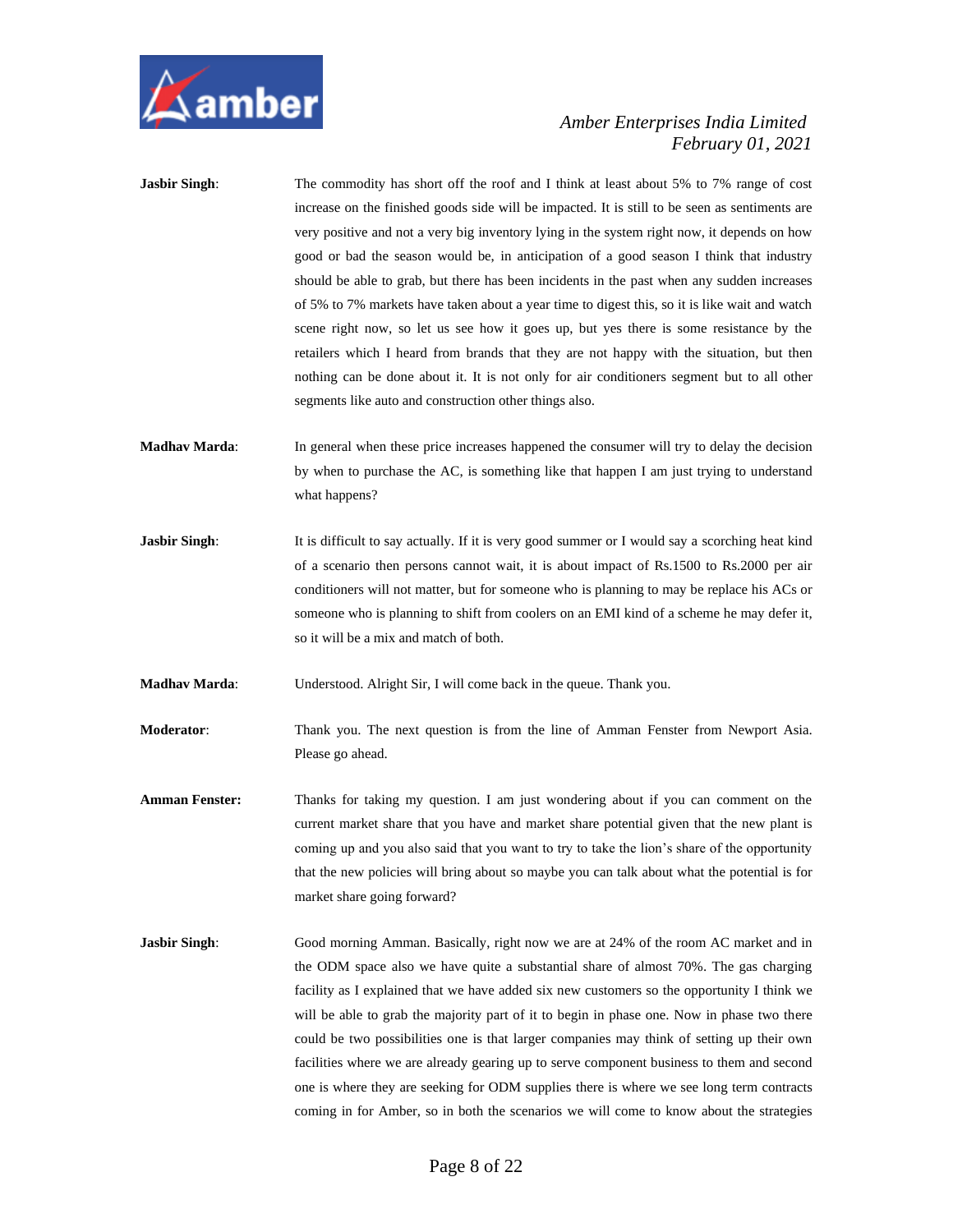

| <b>Jasbir Singh:</b>  | The commodity has short off the roof and I think at least about 5% to 7% range of cost<br>increase on the finished goods side will be impacted. It is still to be seen as sentiments are<br>very positive and not a very big inventory lying in the system right now, it depends on how<br>good or bad the season would be, in anticipation of a good season I think that industry<br>should be able to grab, but there has been incidents in the past when any sudden increases<br>of 5% to 7% markets have taken about a year time to digest this, so it is like wait and watch<br>scene right now, so let us see how it goes up, but yes there is some resistance by the<br>retailers which I heard from brands that they are not happy with the situation, but then<br>nothing can be done about it. It is not only for air conditioners segment but to all other<br>segments like auto and construction other things also. |
|-----------------------|---------------------------------------------------------------------------------------------------------------------------------------------------------------------------------------------------------------------------------------------------------------------------------------------------------------------------------------------------------------------------------------------------------------------------------------------------------------------------------------------------------------------------------------------------------------------------------------------------------------------------------------------------------------------------------------------------------------------------------------------------------------------------------------------------------------------------------------------------------------------------------------------------------------------------------|
| <b>Madhav Marda:</b>  | In general when these price increases happened the consumer will try to delay the decision<br>by when to purchase the AC, is something like that happen I am just trying to understand<br>what happens?                                                                                                                                                                                                                                                                                                                                                                                                                                                                                                                                                                                                                                                                                                                         |
| <b>Jasbir Singh:</b>  | It is difficult to say actually. If it is very good summer or I would say a scorching heat kind<br>of a scenario then persons cannot wait, it is about impact of Rs.1500 to Rs.2000 per air<br>conditioners will not matter, but for someone who is planning to may be replace his ACs or<br>someone who is planning to shift from coolers on an EMI kind of a scheme he may defer it,<br>so it will be a mix and match of both.                                                                                                                                                                                                                                                                                                                                                                                                                                                                                                |
| <b>Madhav Marda:</b>  | Understood. Alright Sir, I will come back in the queue. Thank you.                                                                                                                                                                                                                                                                                                                                                                                                                                                                                                                                                                                                                                                                                                                                                                                                                                                              |
| <b>Moderator:</b>     | Thank you. The next question is from the line of Amman Fenster from Newport Asia.<br>Please go ahead.                                                                                                                                                                                                                                                                                                                                                                                                                                                                                                                                                                                                                                                                                                                                                                                                                           |
| <b>Amman Fenster:</b> | Thanks for taking my question. I am just wondering about if you can comment on the<br>current market share that you have and market share potential given that the new plant is<br>coming up and you also said that you want to try to take the lion's share of the opportunity<br>that the new policies will bring about so maybe you can talk about what the potential is for<br>market share going forward?                                                                                                                                                                                                                                                                                                                                                                                                                                                                                                                  |
| <b>Jasbir Singh:</b>  | Good morning Amman. Basically, right now we are at 24% of the room AC market and in<br>the ODM space also we have quite a substantial share of almost 70%. The gas charging<br>facility as I explained that we have added six new customers so the opportunity I think we<br>will be able to grab the majority part of it to begin in phase one. Now in phase two there<br>could be two possibilities one is that larger companies may think of setting up their own<br>facilities where we are already gearing up to serve component business to them and second<br>one is where they are seeking for ODM supplies there is where we see long term contracts<br>coming in for Amber, so in both the scenarios we will come to know about the strategies                                                                                                                                                                        |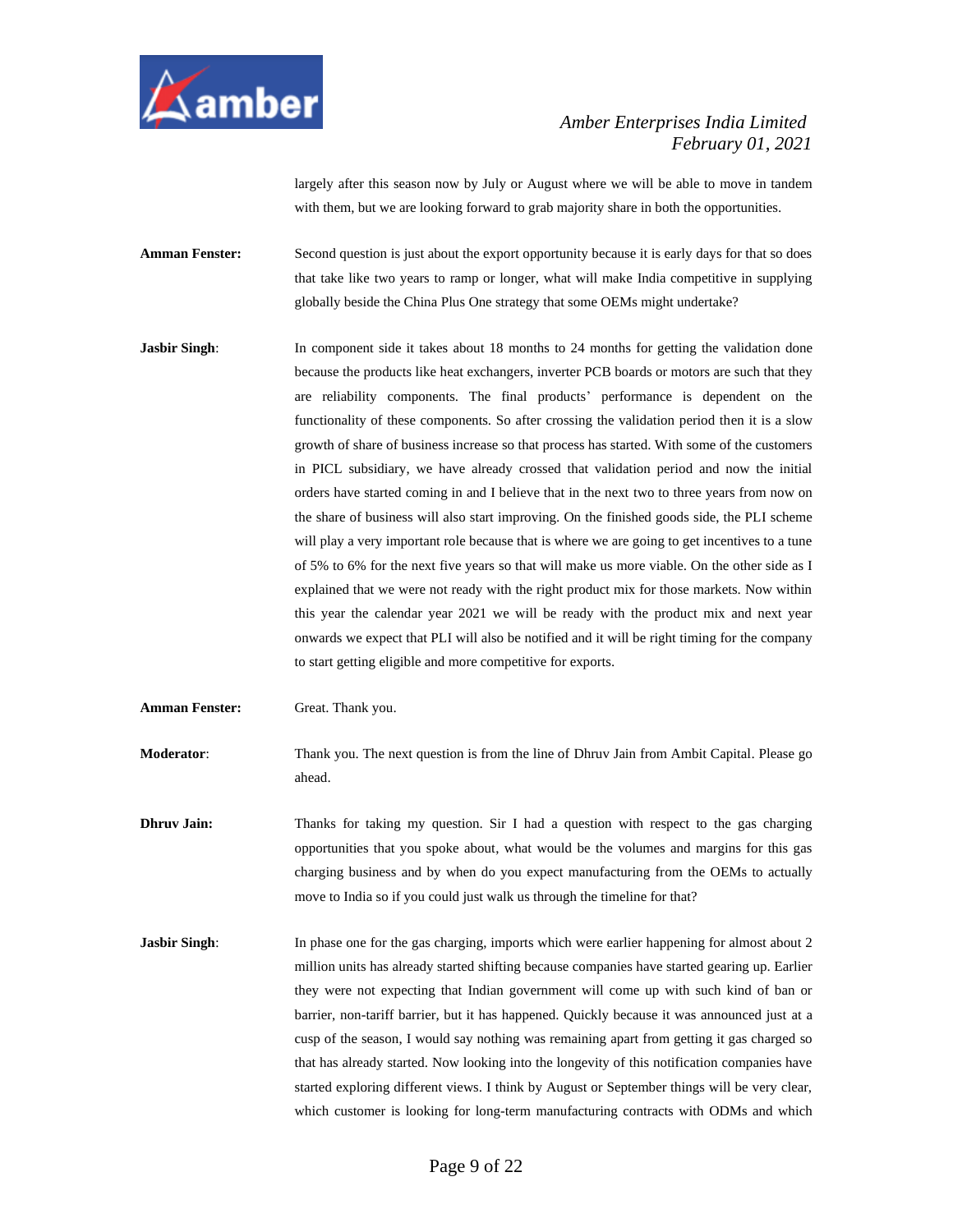

largely after this season now by July or August where we will be able to move in tandem with them, but we are looking forward to grab majority share in both the opportunities.

**Amman Fenster:** Second question is just about the export opportunity because it is early days for that so does that take like two years to ramp or longer, what will make India competitive in supplying globally beside the China Plus One strategy that some OEMs might undertake?

- **Jasbir Singh:** In component side it takes about 18 months to 24 months for getting the validation done because the products like heat exchangers, inverter PCB boards or motors are such that they are reliability components. The final products' performance is dependent on the functionality of these components. So after crossing the validation period then it is a slow growth of share of business increase so that process has started. With some of the customers in PICL subsidiary, we have already crossed that validation period and now the initial orders have started coming in and I believe that in the next two to three years from now on the share of business will also start improving. On the finished goods side, the PLI scheme will play a very important role because that is where we are going to get incentives to a tune of 5% to 6% for the next five years so that will make us more viable. On the other side as I explained that we were not ready with the right product mix for those markets. Now within this year the calendar year 2021 we will be ready with the product mix and next year onwards we expect that PLI will also be notified and it will be right timing for the company to start getting eligible and more competitive for exports.
- **Amman Fenster:** Great. Thank you.

**Moderator**: Thank you. The next question is from the line of Dhruv Jain from Ambit Capital. Please go ahead.

**Dhruv Jain:** Thanks for taking my question. Sir I had a question with respect to the gas charging opportunities that you spoke about, what would be the volumes and margins for this gas charging business and by when do you expect manufacturing from the OEMs to actually move to India so if you could just walk us through the timeline for that?

**Jasbir Singh:** In phase one for the gas charging, imports which were earlier happening for almost about 2 million units has already started shifting because companies have started gearing up. Earlier they were not expecting that Indian government will come up with such kind of ban or barrier, non-tariff barrier, but it has happened. Quickly because it was announced just at a cusp of the season, I would say nothing was remaining apart from getting it gas charged so that has already started. Now looking into the longevity of this notification companies have started exploring different views. I think by August or September things will be very clear, which customer is looking for long-term manufacturing contracts with ODMs and which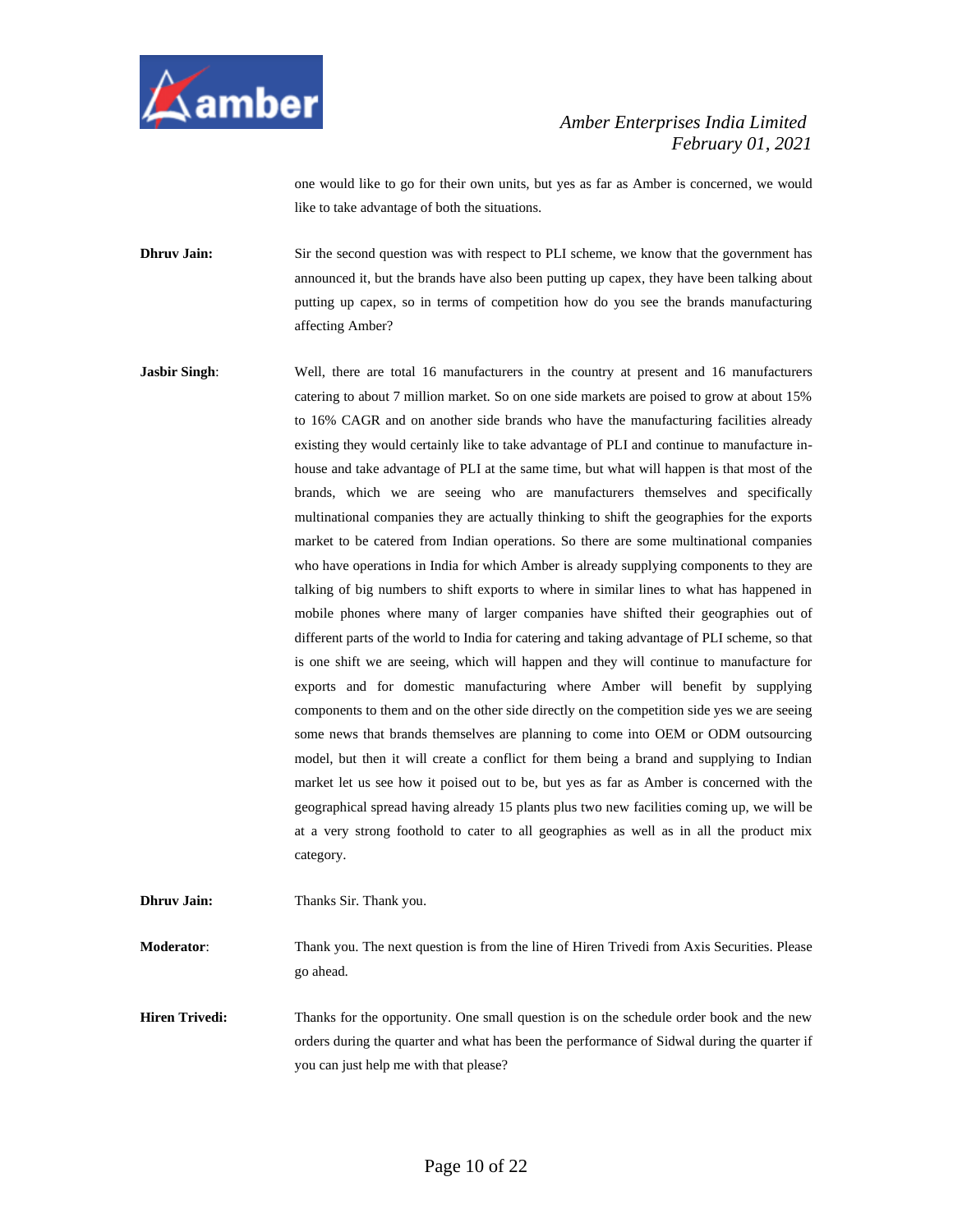

one would like to go for their own units, but yes as far as Amber is concerned, we would like to take advantage of both the situations.

**Dhruv Jain:** Sir the second question was with respect to PLI scheme, we know that the government has announced it, but the brands have also been putting up capex, they have been talking about putting up capex, so in terms of competition how do you see the brands manufacturing affecting Amber?

**Jasbir Singh:** Well, there are total 16 manufacturers in the country at present and 16 manufacturers catering to about 7 million market. So on one side markets are poised to grow at about 15% to 16% CAGR and on another side brands who have the manufacturing facilities already existing they would certainly like to take advantage of PLI and continue to manufacture inhouse and take advantage of PLI at the same time, but what will happen is that most of the brands, which we are seeing who are manufacturers themselves and specifically multinational companies they are actually thinking to shift the geographies for the exports market to be catered from Indian operations. So there are some multinational companies who have operations in India for which Amber is already supplying components to they are talking of big numbers to shift exports to where in similar lines to what has happened in mobile phones where many of larger companies have shifted their geographies out of different parts of the world to India for catering and taking advantage of PLI scheme, so that is one shift we are seeing, which will happen and they will continue to manufacture for exports and for domestic manufacturing where Amber will benefit by supplying components to them and on the other side directly on the competition side yes we are seeing some news that brands themselves are planning to come into OEM or ODM outsourcing model, but then it will create a conflict for them being a brand and supplying to Indian market let us see how it poised out to be, but yes as far as Amber is concerned with the geographical spread having already 15 plants plus two new facilities coming up, we will be at a very strong foothold to cater to all geographies as well as in all the product mix category.

**Moderator**: Thank you. The next question is from the line of Hiren Trivedi from Axis Securities. Please

**Dhruv Jain:** Thanks Sir. Thank you.

go ahead.

**Hiren Trivedi:** Thanks for the opportunity. One small question is on the schedule order book and the new orders during the quarter and what has been the performance of Sidwal during the quarter if you can just help me with that please?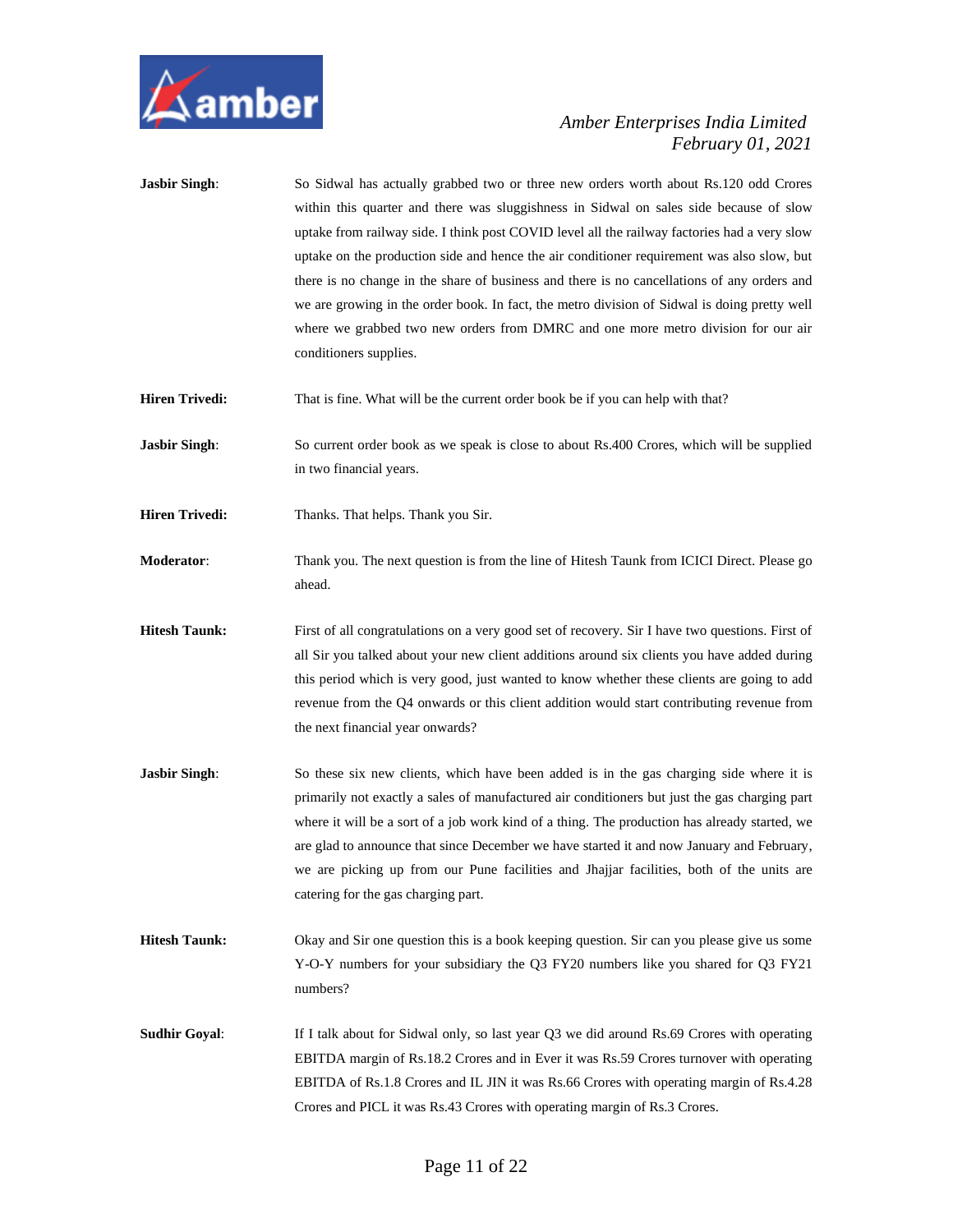

| <b>Jasbir Singh:</b>  | So Sidwal has actually grabbed two or three new orders worth about Rs.120 odd Crores<br>within this quarter and there was sluggishness in Sidwal on sales side because of slow<br>uptake from railway side. I think post COVID level all the railway factories had a very slow<br>uptake on the production side and hence the air conditioner requirement was also slow, but<br>there is no change in the share of business and there is no cancellations of any orders and<br>we are growing in the order book. In fact, the metro division of Sidwal is doing pretty well<br>where we grabbed two new orders from DMRC and one more metro division for our air<br>conditioners supplies. |
|-----------------------|--------------------------------------------------------------------------------------------------------------------------------------------------------------------------------------------------------------------------------------------------------------------------------------------------------------------------------------------------------------------------------------------------------------------------------------------------------------------------------------------------------------------------------------------------------------------------------------------------------------------------------------------------------------------------------------------|
| <b>Hiren Trivedi:</b> | That is fine. What will be the current order book be if you can help with that?                                                                                                                                                                                                                                                                                                                                                                                                                                                                                                                                                                                                            |
| <b>Jasbir Singh:</b>  | So current order book as we speak is close to about Rs.400 Crores, which will be supplied<br>in two financial years.                                                                                                                                                                                                                                                                                                                                                                                                                                                                                                                                                                       |
| <b>Hiren Trivedi:</b> | Thanks. That helps. Thank you Sir.                                                                                                                                                                                                                                                                                                                                                                                                                                                                                                                                                                                                                                                         |
| Moderator:            | Thank you. The next question is from the line of Hitesh Taunk from ICICI Direct. Please go<br>ahead.                                                                                                                                                                                                                                                                                                                                                                                                                                                                                                                                                                                       |
| <b>Hitesh Taunk:</b>  | First of all congratulations on a very good set of recovery. Sir I have two questions. First of<br>all Sir you talked about your new client additions around six clients you have added during<br>this period which is very good, just wanted to know whether these clients are going to add<br>revenue from the Q4 onwards or this client addition would start contributing revenue from<br>the next financial year onwards?                                                                                                                                                                                                                                                              |
| <b>Jasbir Singh:</b>  | So these six new clients, which have been added is in the gas charging side where it is<br>primarily not exactly a sales of manufactured air conditioners but just the gas charging part<br>where it will be a sort of a job work kind of a thing. The production has already started, we<br>are glad to announce that since December we have started it and now January and February,<br>we are picking up from our Pune facilities and Jhajjar facilities, both of the units are<br>catering for the gas charging part.                                                                                                                                                                  |
| <b>Hitesh Taunk:</b>  | Okay and Sir one question this is a book keeping question. Sir can you please give us some<br>Y-O-Y numbers for your subsidiary the Q3 FY20 numbers like you shared for Q3 FY21<br>numbers?                                                                                                                                                                                                                                                                                                                                                                                                                                                                                                |
| <b>Sudhir Goyal:</b>  | If I talk about for Sidwal only, so last year Q3 we did around Rs.69 Crores with operating<br>EBITDA margin of Rs.18.2 Crores and in Ever it was Rs.59 Crores turnover with operating<br>EBITDA of Rs.1.8 Crores and IL JIN it was Rs.66 Crores with operating margin of Rs.4.28<br>Crores and PICL it was Rs.43 Crores with operating margin of Rs.3 Crores.                                                                                                                                                                                                                                                                                                                              |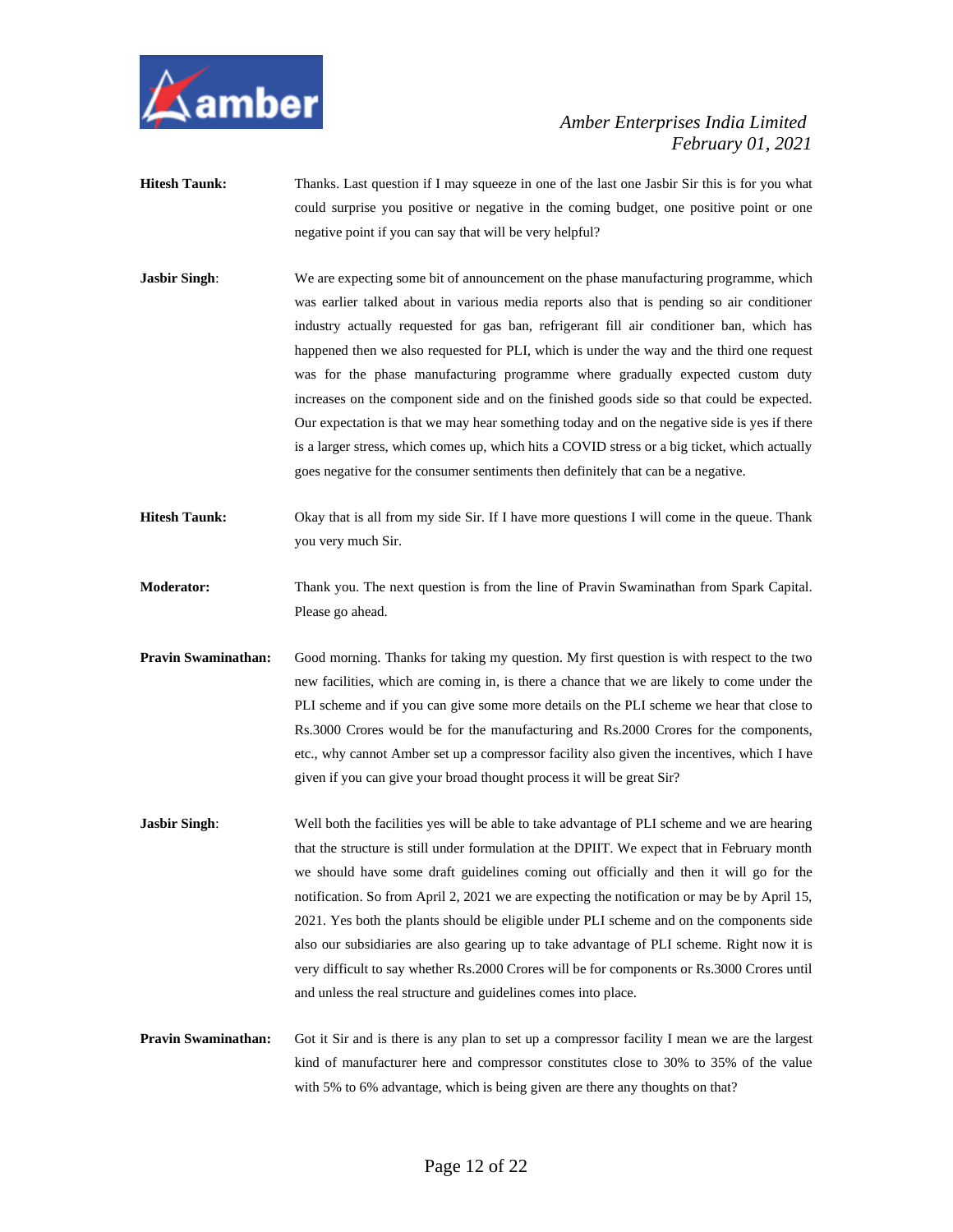

- **Hitesh Taunk:** Thanks. Last question if I may squeeze in one of the last one Jasbir Sir this is for you what could surprise you positive or negative in the coming budget, one positive point or one negative point if you can say that will be very helpful?
- **Jasbir Singh:** We are expecting some bit of announcement on the phase manufacturing programme, which was earlier talked about in various media reports also that is pending so air conditioner industry actually requested for gas ban, refrigerant fill air conditioner ban, which has happened then we also requested for PLI, which is under the way and the third one request was for the phase manufacturing programme where gradually expected custom duty increases on the component side and on the finished goods side so that could be expected. Our expectation is that we may hear something today and on the negative side is yes if there is a larger stress, which comes up, which hits a COVID stress or a big ticket, which actually goes negative for the consumer sentiments then definitely that can be a negative.
- **Hitesh Taunk:** Okay that is all from my side Sir. If I have more questions I will come in the queue. Thank you very much Sir.
- **Moderator:** Thank you. The next question is from the line of Pravin Swaminathan from Spark Capital. Please go ahead.
- **Pravin Swaminathan:** Good morning. Thanks for taking my question. My first question is with respect to the two new facilities, which are coming in, is there a chance that we are likely to come under the PLI scheme and if you can give some more details on the PLI scheme we hear that close to Rs.3000 Crores would be for the manufacturing and Rs.2000 Crores for the components, etc., why cannot Amber set up a compressor facility also given the incentives, which I have given if you can give your broad thought process it will be great Sir?
- **Jasbir Singh:** Well both the facilities yes will be able to take advantage of PLI scheme and we are hearing that the structure is still under formulation at the DPIIT. We expect that in February month we should have some draft guidelines coming out officially and then it will go for the notification. So from April 2, 2021 we are expecting the notification or may be by April 15, 2021. Yes both the plants should be eligible under PLI scheme and on the components side also our subsidiaries are also gearing up to take advantage of PLI scheme. Right now it is very difficult to say whether Rs.2000 Crores will be for components or Rs.3000 Crores until and unless the real structure and guidelines comes into place.
- **Pravin Swaminathan:** Got it Sir and is there is any plan to set up a compressor facility I mean we are the largest kind of manufacturer here and compressor constitutes close to 30% to 35% of the value with 5% to 6% advantage, which is being given are there any thoughts on that?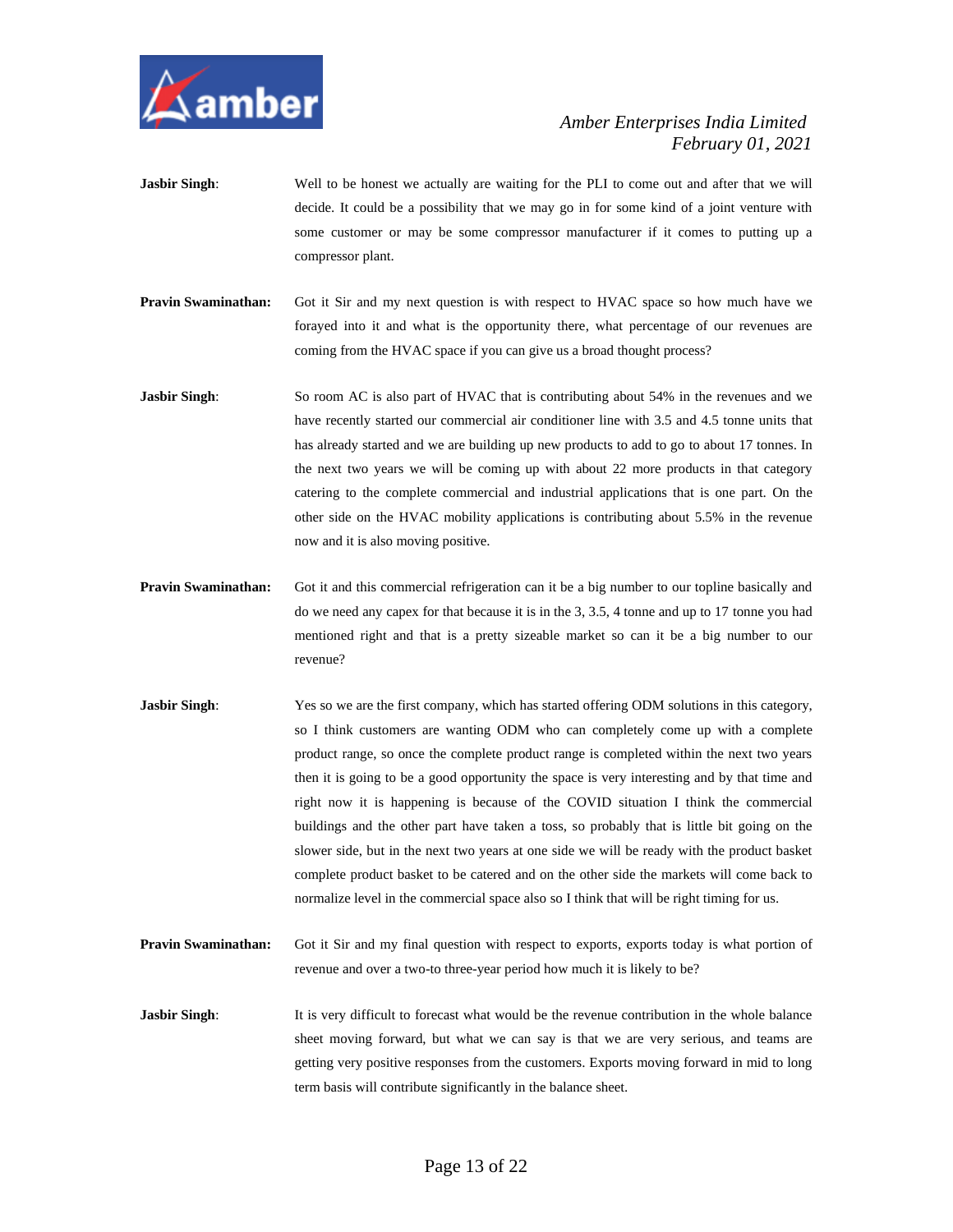

- **Jasbir Singh:** Well to be honest we actually are waiting for the PLI to come out and after that we will decide. It could be a possibility that we may go in for some kind of a joint venture with some customer or may be some compressor manufacturer if it comes to putting up a compressor plant.
- **Pravin Swaminathan:** Got it Sir and my next question is with respect to HVAC space so how much have we forayed into it and what is the opportunity there, what percentage of our revenues are coming from the HVAC space if you can give us a broad thought process?
- **Jasbir Singh:** So room AC is also part of HVAC that is contributing about 54% in the revenues and we have recently started our commercial air conditioner line with 3.5 and 4.5 tonne units that has already started and we are building up new products to add to go to about 17 tonnes. In the next two years we will be coming up with about 22 more products in that category catering to the complete commercial and industrial applications that is one part. On the other side on the HVAC mobility applications is contributing about 5.5% in the revenue now and it is also moving positive.
- **Pravin Swaminathan:** Got it and this commercial refrigeration can it be a big number to our topline basically and do we need any capex for that because it is in the 3, 3.5, 4 tonne and up to 17 tonne you had mentioned right and that is a pretty sizeable market so can it be a big number to our revenue?
- **Jasbir Singh**: Yes so we are the first company, which has started offering ODM solutions in this category, so I think customers are wanting ODM who can completely come up with a complete product range, so once the complete product range is completed within the next two years then it is going to be a good opportunity the space is very interesting and by that time and right now it is happening is because of the COVID situation I think the commercial buildings and the other part have taken a toss, so probably that is little bit going on the slower side, but in the next two years at one side we will be ready with the product basket complete product basket to be catered and on the other side the markets will come back to normalize level in the commercial space also so I think that will be right timing for us.
- **Pravin Swaminathan:** Got it Sir and my final question with respect to exports, exports today is what portion of revenue and over a two-to three-year period how much it is likely to be?
- **Jasbir Singh:** It is very difficult to forecast what would be the revenue contribution in the whole balance sheet moving forward, but what we can say is that we are very serious, and teams are getting very positive responses from the customers. Exports moving forward in mid to long term basis will contribute significantly in the balance sheet.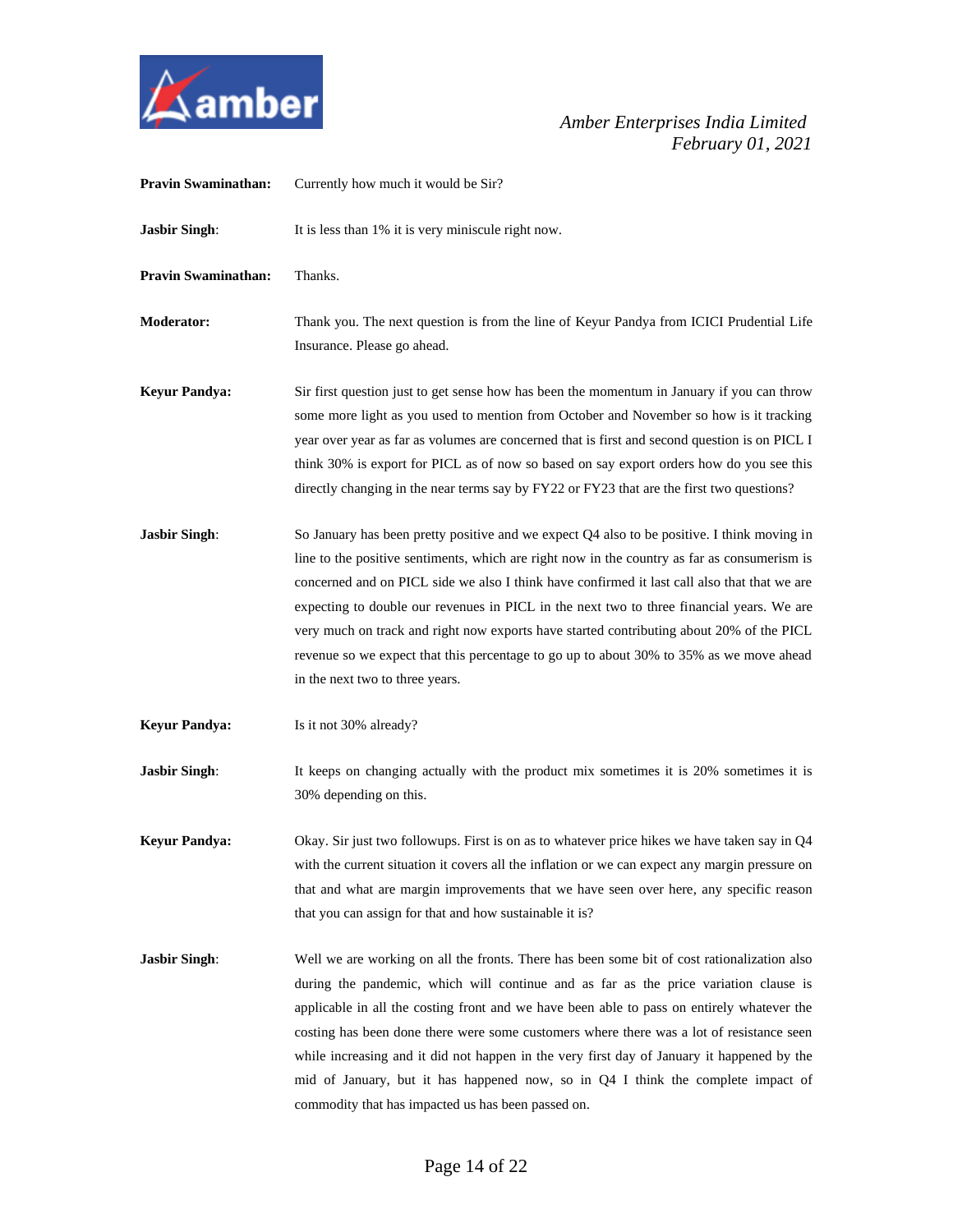

| <b>Pravin Swaminathan:</b> | Currently how much it would be Sir?                                                                                                                                                                                                                                                                                                                                                                                                                                                                                                                                                                                   |
|----------------------------|-----------------------------------------------------------------------------------------------------------------------------------------------------------------------------------------------------------------------------------------------------------------------------------------------------------------------------------------------------------------------------------------------------------------------------------------------------------------------------------------------------------------------------------------------------------------------------------------------------------------------|
| <b>Jasbir Singh:</b>       | It is less than 1% it is very miniscule right now.                                                                                                                                                                                                                                                                                                                                                                                                                                                                                                                                                                    |
| <b>Pravin Swaminathan:</b> | Thanks.                                                                                                                                                                                                                                                                                                                                                                                                                                                                                                                                                                                                               |
| <b>Moderator:</b>          | Thank you. The next question is from the line of Keyur Pandya from ICICI Prudential Life<br>Insurance. Please go ahead.                                                                                                                                                                                                                                                                                                                                                                                                                                                                                               |
| <b>Keyur Pandya:</b>       | Sir first question just to get sense how has been the momentum in January if you can throw<br>some more light as you used to mention from October and November so how is it tracking<br>year over year as far as volumes are concerned that is first and second question is on PICL I<br>think 30% is export for PICL as of now so based on say export orders how do you see this<br>directly changing in the near terms say by FY22 or FY23 that are the first two questions?                                                                                                                                        |
| <b>Jasbir Singh:</b>       | So January has been pretty positive and we expect Q4 also to be positive. I think moving in<br>line to the positive sentiments, which are right now in the country as far as consumerism is<br>concerned and on PICL side we also I think have confirmed it last call also that that we are<br>expecting to double our revenues in PICL in the next two to three financial years. We are<br>very much on track and right now exports have started contributing about 20% of the PICL<br>revenue so we expect that this percentage to go up to about 30% to 35% as we move ahead<br>in the next two to three years.    |
| <b>Keyur Pandya:</b>       | Is it not 30% already?                                                                                                                                                                                                                                                                                                                                                                                                                                                                                                                                                                                                |
| <b>Jasbir Singh:</b>       | It keeps on changing actually with the product mix sometimes it is 20% sometimes it is<br>30% depending on this.                                                                                                                                                                                                                                                                                                                                                                                                                                                                                                      |
| <b>Keyur Pandya:</b>       | Okay. Sir just two followups. First is on as to whatever price hikes we have taken say in Q4<br>with the current situation it covers all the inflation or we can expect any margin pressure on<br>that and what are margin improvements that we have seen over here, any specific reason<br>that you can assign for that and how sustainable it is?                                                                                                                                                                                                                                                                   |
| <b>Jasbir Singh:</b>       | Well we are working on all the fronts. There has been some bit of cost rationalization also<br>during the pandemic, which will continue and as far as the price variation clause is<br>applicable in all the costing front and we have been able to pass on entirely whatever the<br>costing has been done there were some customers where there was a lot of resistance seen<br>while increasing and it did not happen in the very first day of January it happened by the<br>mid of January, but it has happened now, so in Q4 I think the complete impact of<br>commodity that has impacted us has been passed on. |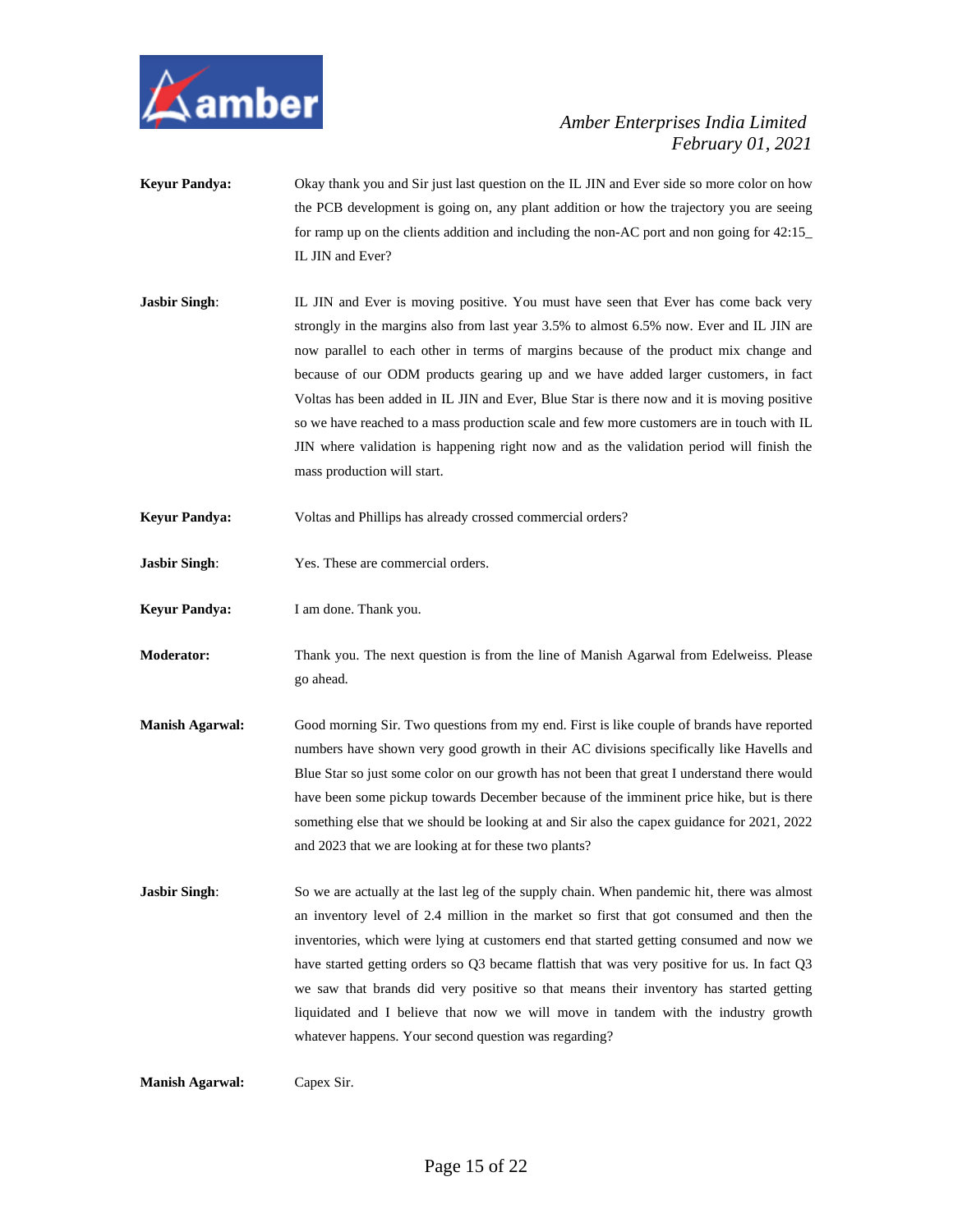

- **Keyur Pandya:** Okay thank you and Sir just last question on the IL JIN and Ever side so more color on how the PCB development is going on, any plant addition or how the trajectory you are seeing for ramp up on the clients addition and including the non-AC port and non going for 42:15\_ IL JIN and Ever?
- **Jasbir Singh**: IL JIN and Ever is moving positive. You must have seen that Ever has come back very strongly in the margins also from last year 3.5% to almost 6.5% now. Ever and IL JIN are now parallel to each other in terms of margins because of the product mix change and because of our ODM products gearing up and we have added larger customers, in fact Voltas has been added in IL JIN and Ever, Blue Star is there now and it is moving positive so we have reached to a mass production scale and few more customers are in touch with IL JIN where validation is happening right now and as the validation period will finish the mass production will start.
- **Keyur Pandya:** Voltas and Phillips has already crossed commercial orders?
- **Jasbir Singh**: Yes. These are commercial orders.
- **Keyur Pandya:** I am done. Thank you.
- **Moderator:** Thank you. The next question is from the line of Manish Agarwal from Edelweiss. Please go ahead.
- **Manish Agarwal:** Good morning Sir. Two questions from my end. First is like couple of brands have reported numbers have shown very good growth in their AC divisions specifically like Havells and Blue Star so just some color on our growth has not been that great I understand there would have been some pickup towards December because of the imminent price hike, but is there something else that we should be looking at and Sir also the capex guidance for 2021, 2022 and 2023 that we are looking at for these two plants?
- **Jasbir Singh:** So we are actually at the last leg of the supply chain. When pandemic hit, there was almost an inventory level of 2.4 million in the market so first that got consumed and then the inventories, which were lying at customers end that started getting consumed and now we have started getting orders so Q3 became flattish that was very positive for us. In fact Q3 we saw that brands did very positive so that means their inventory has started getting liquidated and I believe that now we will move in tandem with the industry growth whatever happens. Your second question was regarding?

**Manish Agarwal:** Capex Sir.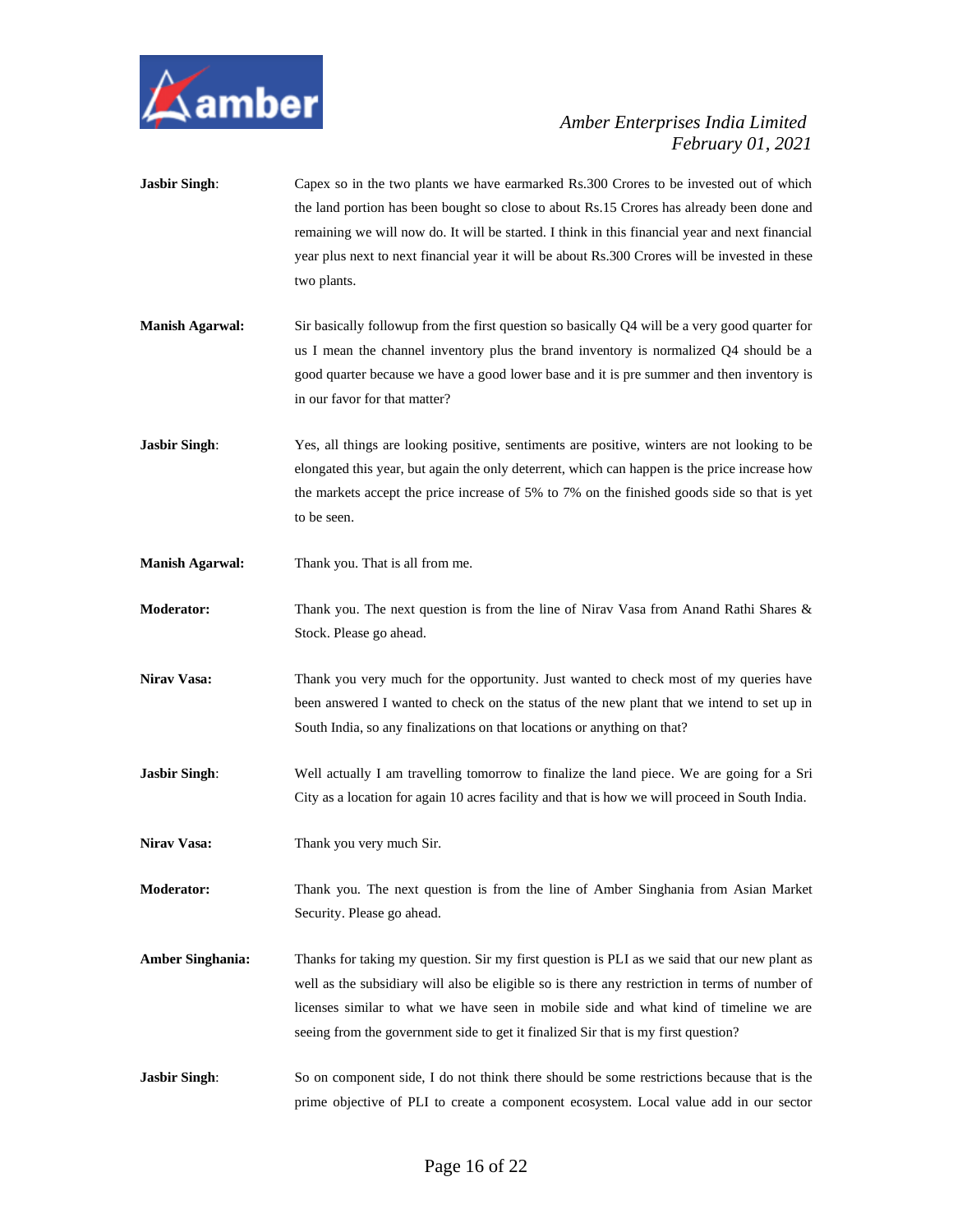

**Jasbir Singh:** Capex so in the two plants we have earmarked Rs.300 Crores to be invested out of which the land portion has been bought so close to about Rs.15 Crores has already been done and remaining we will now do. It will be started. I think in this financial year and next financial year plus next to next financial year it will be about Rs.300 Crores will be invested in these two plants. **Manish Agarwal:** Sir basically followup from the first question so basically Q4 will be a very good quarter for us I mean the channel inventory plus the brand inventory is normalized Q4 should be a good quarter because we have a good lower base and it is pre summer and then inventory is in our favor for that matter? **Jasbir Singh:** Yes, all things are looking positive, sentiments are positive, winters are not looking to be elongated this year, but again the only deterrent, which can happen is the price increase how the markets accept the price increase of 5% to 7% on the finished goods side so that is yet to be seen. **Manish Agarwal:** Thank you. That is all from me. **Moderator:** Thank you. The next question is from the line of Nirav Vasa from Anand Rathi Shares & Stock. Please go ahead. Nirav Vasa: Thank you very much for the opportunity. Just wanted to check most of my queries have been answered I wanted to check on the status of the new plant that we intend to set up in South India, so any finalizations on that locations or anything on that? **Jasbir Singh:** Well actually I am travelling tomorrow to finalize the land piece. We are going for a Sri City as a location for again 10 acres facility and that is how we will proceed in South India. **Nirav Vasa:** Thank you very much Sir.

**Moderator:** Thank you. The next question is from the line of Amber Singhania from Asian Market Security. Please go ahead.

- **Amber Singhania:** Thanks for taking my question. Sir my first question is PLI as we said that our new plant as well as the subsidiary will also be eligible so is there any restriction in terms of number of licenses similar to what we have seen in mobile side and what kind of timeline we are seeing from the government side to get it finalized Sir that is my first question?
- **Jasbir Singh:** So on component side, I do not think there should be some restrictions because that is the prime objective of PLI to create a component ecosystem. Local value add in our sector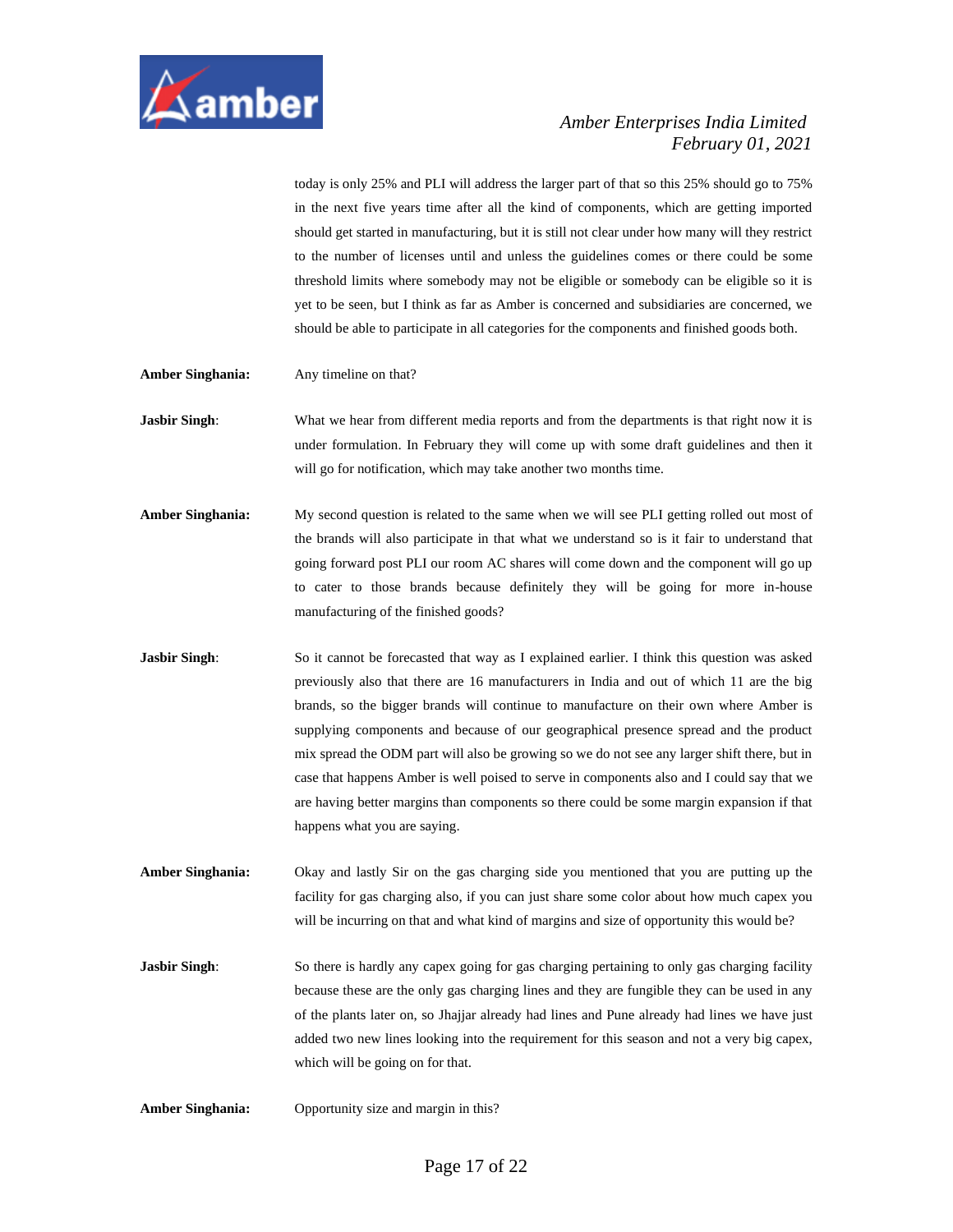

today is only 25% and PLI will address the larger part of that so this 25% should go to 75% in the next five years time after all the kind of components, which are getting imported should get started in manufacturing, but it is still not clear under how many will they restrict to the number of licenses until and unless the guidelines comes or there could be some threshold limits where somebody may not be eligible or somebody can be eligible so it is yet to be seen, but I think as far as Amber is concerned and subsidiaries are concerned, we should be able to participate in all categories for the components and finished goods both.

- **Amber Singhania:** Any timeline on that?
- **Jasbir Singh:** What we hear from different media reports and from the departments is that right now it is under formulation. In February they will come up with some draft guidelines and then it will go for notification, which may take another two months time.
- **Amber Singhania:** My second question is related to the same when we will see PLI getting rolled out most of the brands will also participate in that what we understand so is it fair to understand that going forward post PLI our room AC shares will come down and the component will go up to cater to those brands because definitely they will be going for more in-house manufacturing of the finished goods?
- **Jasbir Singh:** So it cannot be forecasted that way as I explained earlier. I think this question was asked previously also that there are 16 manufacturers in India and out of which 11 are the big brands, so the bigger brands will continue to manufacture on their own where Amber is supplying components and because of our geographical presence spread and the product mix spread the ODM part will also be growing so we do not see any larger shift there, but in case that happens Amber is well poised to serve in components also and I could say that we are having better margins than components so there could be some margin expansion if that happens what you are saying.
- **Amber Singhania:** Okay and lastly Sir on the gas charging side you mentioned that you are putting up the facility for gas charging also, if you can just share some color about how much capex you will be incurring on that and what kind of margins and size of opportunity this would be?
- **Jasbir Singh:** So there is hardly any capex going for gas charging pertaining to only gas charging facility because these are the only gas charging lines and they are fungible they can be used in any of the plants later on, so Jhajjar already had lines and Pune already had lines we have just added two new lines looking into the requirement for this season and not a very big capex, which will be going on for that.
- **Amber Singhania:** Opportunity size and margin in this?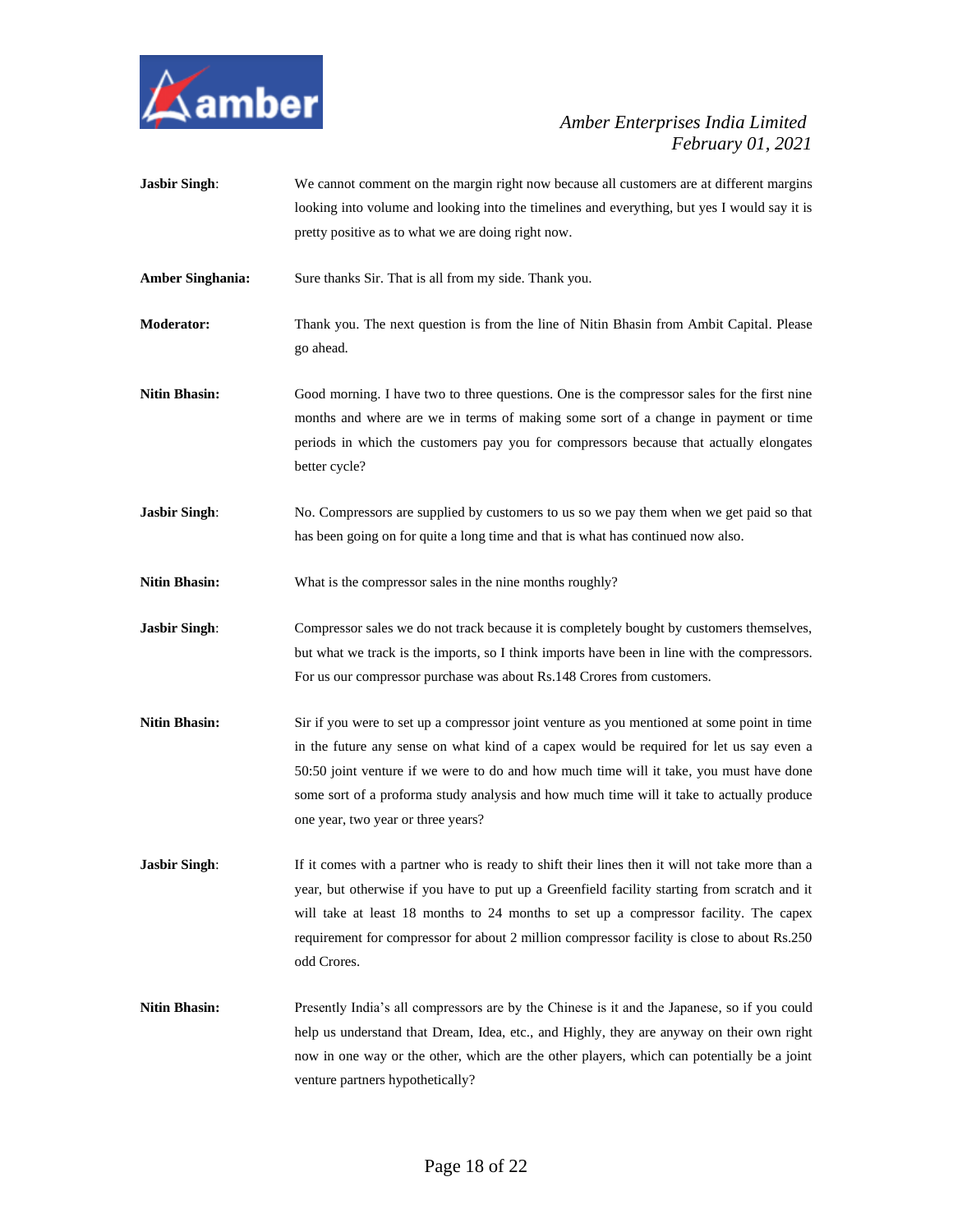

**Jasbir Singh:** We cannot comment on the margin right now because all customers are at different margins looking into volume and looking into the timelines and everything, but yes I would say it is pretty positive as to what we are doing right now. Amber Singhania: Sure thanks Sir. That is all from my side. Thank you. **Moderator:** Thank you. The next question is from the line of Nitin Bhasin from Ambit Capital. Please go ahead. **Nitin Bhasin:** Good morning. I have two to three questions. One is the compressor sales for the first nine months and where are we in terms of making some sort of a change in payment or time periods in which the customers pay you for compressors because that actually elongates better cycle? **Jasbir Singh:** No. Compressors are supplied by customers to us so we pay them when we get paid so that has been going on for quite a long time and that is what has continued now also. **Nitin Bhasin:** What is the compressor sales in the nine months roughly? **Jasbir Singh:** Compressor sales we do not track because it is completely bought by customers themselves, but what we track is the imports, so I think imports have been in line with the compressors. For us our compressor purchase was about Rs.148 Crores from customers. **Nitin Bhasin:** Sir if you were to set up a compressor joint venture as you mentioned at some point in time in the future any sense on what kind of a capex would be required for let us say even a 50:50 joint venture if we were to do and how much time will it take, you must have done some sort of a proforma study analysis and how much time will it take to actually produce one year, two year or three years? **Jasbir Singh:** If it comes with a partner who is ready to shift their lines then it will not take more than a year, but otherwise if you have to put up a Greenfield facility starting from scratch and it will take at least 18 months to 24 months to set up a compressor facility. The capex requirement for compressor for about 2 million compressor facility is close to about Rs.250 odd Crores. Nitin Bhasin: Presently India's all compressors are by the Chinese is it and the Japanese, so if you could help us understand that Dream, Idea, etc., and Highly, they are anyway on their own right now in one way or the other, which are the other players, which can potentially be a joint venture partners hypothetically?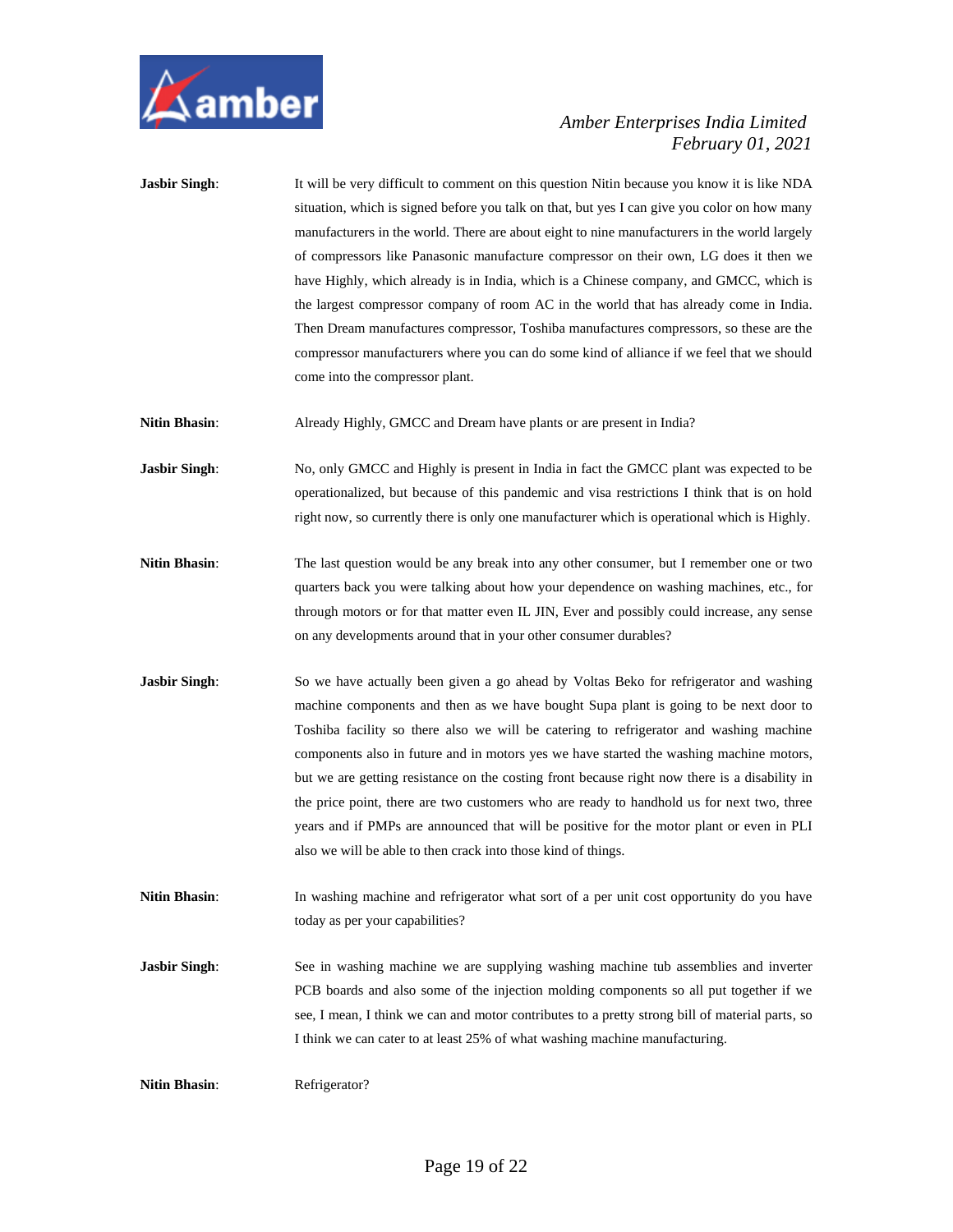

| <b>Jasbir Singh:</b> | It will be very difficult to comment on this question Nitin because you know it is like NDA     |
|----------------------|-------------------------------------------------------------------------------------------------|
|                      | situation, which is signed before you talk on that, but yes I can give you color on how many    |
|                      | manufacturers in the world. There are about eight to nine manufacturers in the world largely    |
|                      | of compressors like Panasonic manufacture compressor on their own, LG does it then we           |
|                      | have Highly, which already is in India, which is a Chinese company, and GMCC, which is          |
|                      | the largest compressor company of room AC in the world that has already come in India.          |
|                      | Then Dream manufactures compressor, Toshiba manufactures compressors, so these are the          |
|                      | compressor manufacturers where you can do some kind of alliance if we feel that we should       |
|                      | come into the compressor plant.                                                                 |
| <b>Nitin Bhasin:</b> | Already Highly, GMCC and Dream have plants or are present in India?                             |
| <b>Jasbir Singh:</b> | No, only GMCC and Highly is present in India in fact the GMCC plant was expected to be          |
|                      | operationalized, but because of this pandemic and visa restrictions I think that is on hold     |
|                      | right now, so currently there is only one manufacturer which is operational which is Highly.    |
| <b>Nitin Bhasin:</b> | The last question would be any break into any other consumer, but I remember one or two         |
|                      | quarters back you were talking about how your dependence on washing machines, etc., for         |
|                      | through motors or for that matter even IL JIN, Ever and possibly could increase, any sense      |
|                      | on any developments around that in your other consumer durables?                                |
| <b>Jasbir Singh:</b> | So we have actually been given a go ahead by Voltas Beko for refrigerator and washing           |
|                      | machine components and then as we have bought Supa plant is going to be next door to            |
|                      | Toshiba facility so there also we will be catering to refrigerator and washing machine          |
|                      | components also in future and in motors yes we have started the washing machine motors,         |
|                      | but we are getting resistance on the costing front because right now there is a disability in   |
|                      | the price point, there are two customers who are ready to handhold us for next two, three       |
|                      | years and if PMPs are announced that will be positive for the motor plant or even in PLI        |
|                      | also we will be able to then crack into those kind of things.                                   |
| <b>Nitin Bhasin:</b> | In washing machine and refrigerator what sort of a per unit cost opportunity do you have        |
|                      | today as per your capabilities?                                                                 |
| <b>Jasbir Singh:</b> | See in washing machine we are supplying washing machine tub assemblies and inverter             |
|                      | PCB boards and also some of the injection molding components so all put together if we          |
|                      | see, I mean, I think we can and motor contributes to a pretty strong bill of material parts, so |
|                      | I think we can cater to at least 25% of what washing machine manufacturing.                     |
| <b>Nitin Bhasin:</b> | Refrigerator?                                                                                   |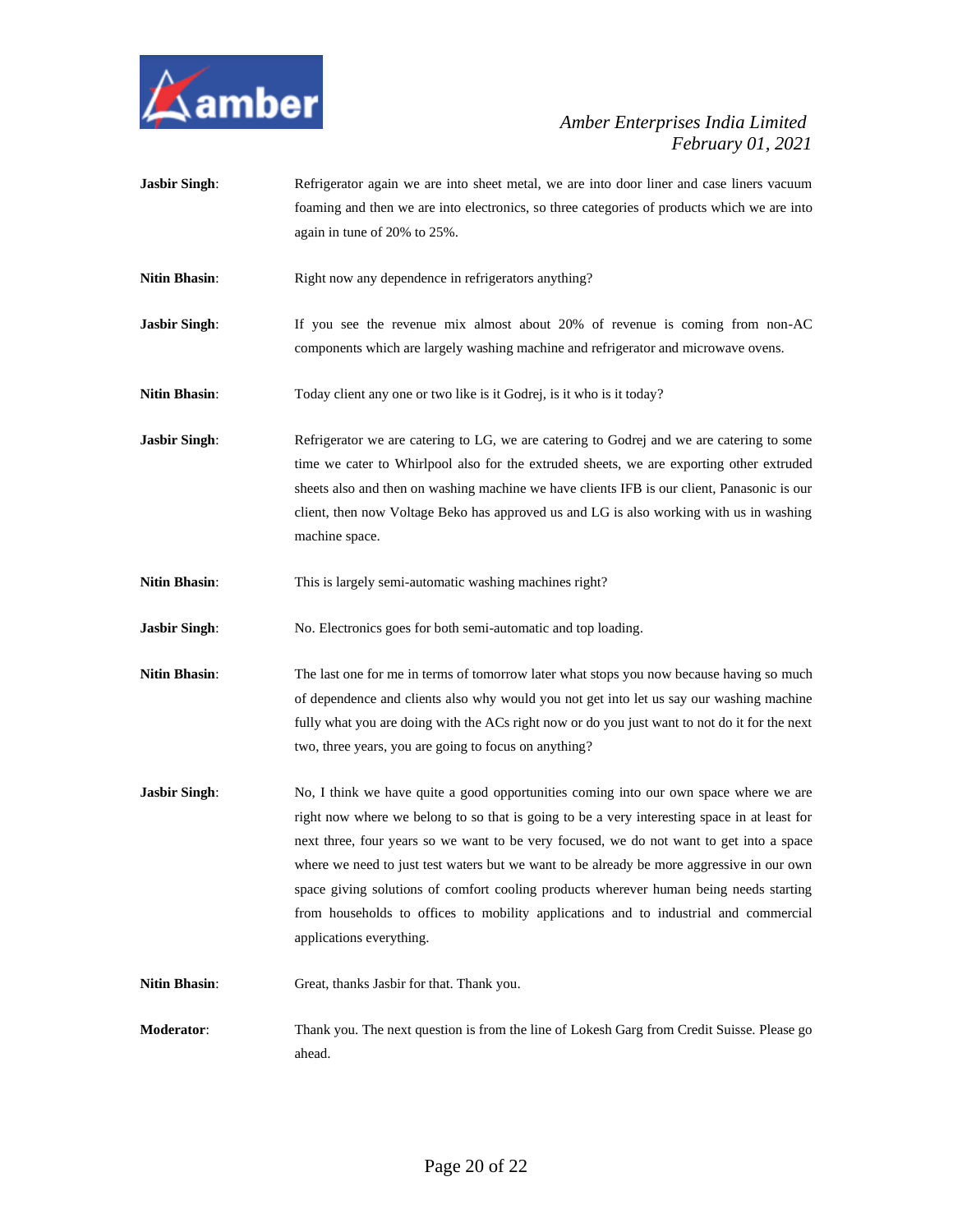

**Jasbir Singh:** Refrigerator again we are into sheet metal, we are into door liner and case liners vacuum foaming and then we are into electronics, so three categories of products which we are into again in tune of 20% to 25%. **Nitin Bhasin:** Right now any dependence in refrigerators anything? **Jasbir Singh:** If you see the revenue mix almost about 20% of revenue is coming from non-AC components which are largely washing machine and refrigerator and microwave ovens. Nitin Bhasin: Today client any one or two like is it Godrej, is it who is it today? **Jasbir Singh:** Refrigerator we are catering to LG, we are catering to Godrej and we are catering to some time we cater to Whirlpool also for the extruded sheets, we are exporting other extruded sheets also and then on washing machine we have clients IFB is our client, Panasonic is our client, then now Voltage Beko has approved us and LG is also working with us in washing machine space. **Nitin Bhasin:** This is largely semi-automatic washing machines right? **Jasbir Singh**: No. Electronics goes for both semi-automatic and top loading. **Nitin Bhasin:** The last one for me in terms of tomorrow later what stops you now because having so much of dependence and clients also why would you not get into let us say our washing machine fully what you are doing with the ACs right now or do you just want to not do it for the next two, three years, you are going to focus on anything? **Jasbir Singh:** No, I think we have quite a good opportunities coming into our own space where we are right now where we belong to so that is going to be a very interesting space in at least for next three, four years so we want to be very focused, we do not want to get into a space where we need to just test waters but we want to be already be more aggressive in our own space giving solutions of comfort cooling products wherever human being needs starting from households to offices to mobility applications and to industrial and commercial applications everything. **Nitin Bhasin**: Great, thanks Jasbir for that. Thank you. **Moderator**: Thank you. The next question is from the line of Lokesh Garg from Credit Suisse. Please go ahead.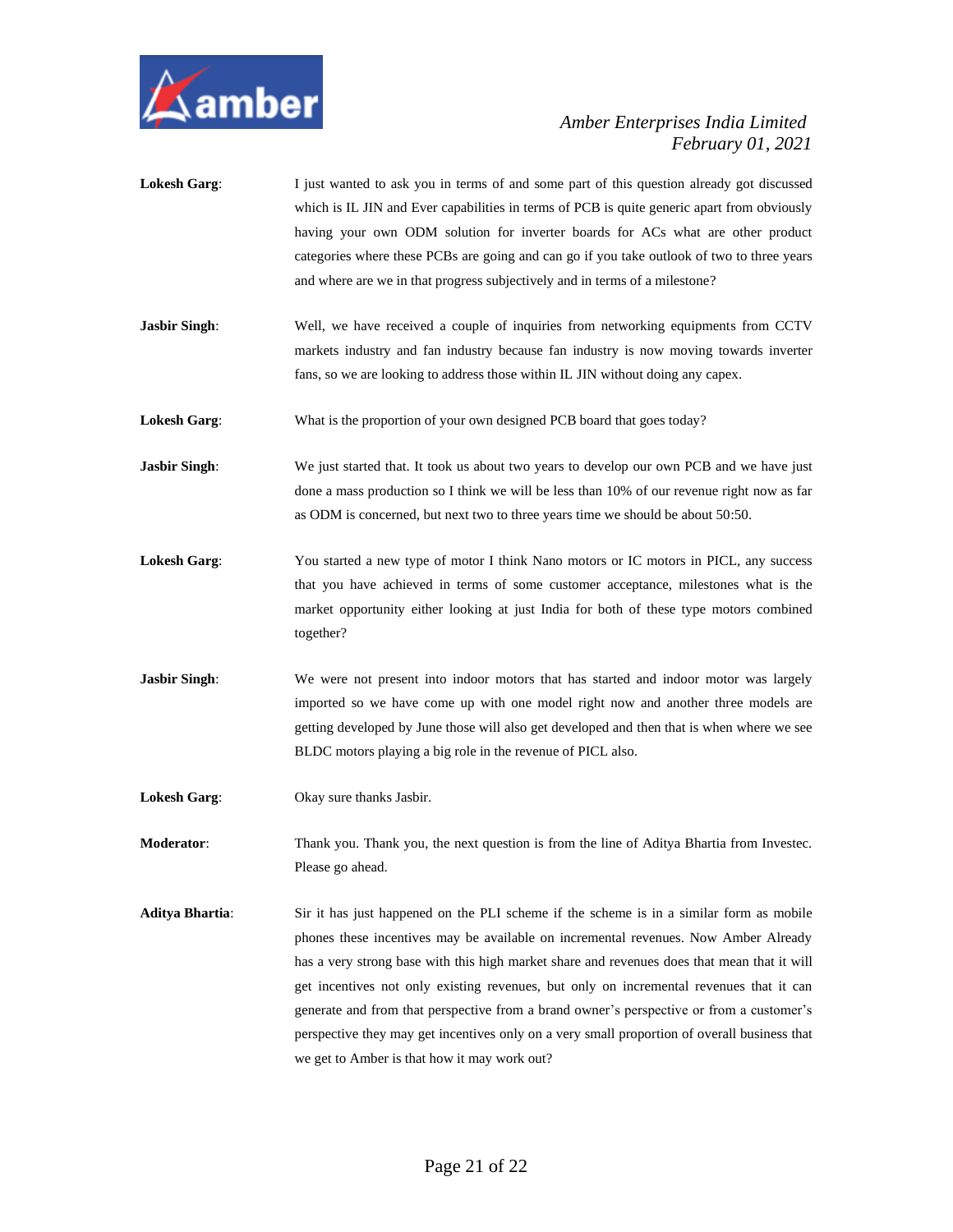

| <b>Lokesh Garg:</b>    | I just wanted to ask you in terms of and some part of this question already got discussed<br>which is IL JIN and Ever capabilities in terms of PCB is quite generic apart from obviously<br>having your own ODM solution for inverter boards for ACs what are other product<br>categories where these PCBs are going and can go if you take outlook of two to three years<br>and where are we in that progress subjectively and in terms of a milestone?                                                                                                                                                             |
|------------------------|----------------------------------------------------------------------------------------------------------------------------------------------------------------------------------------------------------------------------------------------------------------------------------------------------------------------------------------------------------------------------------------------------------------------------------------------------------------------------------------------------------------------------------------------------------------------------------------------------------------------|
| <b>Jasbir Singh:</b>   | Well, we have received a couple of inquiries from networking equipments from CCTV<br>markets industry and fan industry because fan industry is now moving towards inverter<br>fans, so we are looking to address those within IL JIN without doing any capex.                                                                                                                                                                                                                                                                                                                                                        |
| <b>Lokesh Garg:</b>    | What is the proportion of your own designed PCB board that goes today?                                                                                                                                                                                                                                                                                                                                                                                                                                                                                                                                               |
| <b>Jasbir Singh:</b>   | We just started that. It took us about two years to develop our own PCB and we have just<br>done a mass production so I think we will be less than 10% of our revenue right now as far<br>as ODM is concerned, but next two to three years time we should be about 50:50.                                                                                                                                                                                                                                                                                                                                            |
| <b>Lokesh Garg:</b>    | You started a new type of motor I think Nano motors or IC motors in PICL, any success<br>that you have achieved in terms of some customer acceptance, milestones what is the<br>market opportunity either looking at just India for both of these type motors combined<br>together?                                                                                                                                                                                                                                                                                                                                  |
| <b>Jasbir Singh:</b>   | We were not present into indoor motors that has started and indoor motor was largely<br>imported so we have come up with one model right now and another three models are<br>getting developed by June those will also get developed and then that is when where we see<br>BLDC motors playing a big role in the revenue of PICL also.                                                                                                                                                                                                                                                                               |
| <b>Lokesh Garg:</b>    | Okay sure thanks Jasbir.                                                                                                                                                                                                                                                                                                                                                                                                                                                                                                                                                                                             |
| <b>Moderator:</b>      | Thank you. Thank you, the next question is from the line of Aditya Bhartia from Investee.<br>Please go ahead.                                                                                                                                                                                                                                                                                                                                                                                                                                                                                                        |
| <b>Aditya Bhartia:</b> | Sir it has just happened on the PLI scheme if the scheme is in a similar form as mobile<br>phones these incentives may be available on incremental revenues. Now Amber Already<br>has a very strong base with this high market share and revenues does that mean that it will<br>get incentives not only existing revenues, but only on incremental revenues that it can<br>generate and from that perspective from a brand owner's perspective or from a customer's<br>perspective they may get incentives only on a very small proportion of overall business that<br>we get to Amber is that how it may work out? |